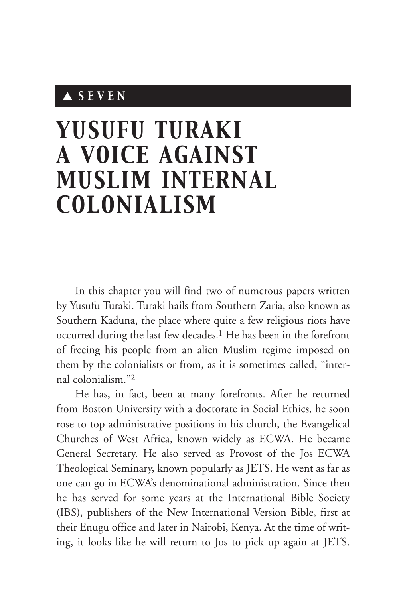# ▲ *SEVEN*

# *YUSUFU TURAKI A VOICE AGAINST MUSLIM INTERNAL COLONIALISM*

In this chapter you will find two of numerous papers written by Yusufu Turaki. Turaki hails from Southern Zaria, also known as Southern Kaduna, the place where quite a few religious riots have occurred during the last few decades.1 He has been in the forefront of freeing his people from an alien Muslim regime imposed on them by the colonialists or from, as it is sometimes called, "internal colonialism."2

He has, in fact, been at many forefronts. After he returned from Boston University with a doctorate in Social Ethics, he soon rose to top administrative positions in his church, the Evangelical Churches of West Africa, known widely as ECWA. He became General Secretary. He also served as Provost of the Jos ECWA Theological Seminary, known popularly as JETS. He went as far as one can go in ECWA's denominational administration. Since then he has served for some years at the International Bible Society (IBS), publishers of the New International Version Bible, first at their Enugu office and later in Nairobi, Kenya. At the time of writing, it looks like he will return to Jos to pick up again at JETS.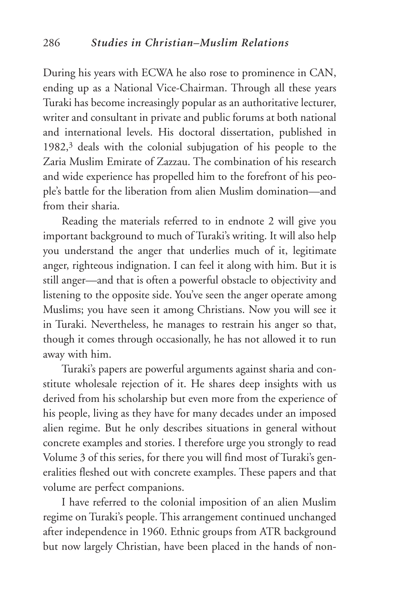During his years with ECWA he also rose to prominence in CAN, ending up as a National Vice-Chairman. Through all these years Turaki has become increasingly popular as an authoritative lecturer, writer and consultant in private and public forums at both national and international levels. His doctoral dissertation, published in 1982,3 deals with the colonial subjugation of his people to the Zaria Muslim Emirate of Zazzau. The combination of his research and wide experience has propelled him to the forefront of his people's battle for the liberation from alien Muslim domination—and from their sharia.

Reading the materials referred to in endnote 2 will give you important background to much of Turaki's writing. It will also help you understand the anger that underlies much of it, legitimate anger, righteous indignation. I can feel it along with him. But it is still anger—and that is often a powerful obstacle to objectivity and listening to the opposite side. You've seen the anger operate among Muslims; you have seen it among Christians. Now you will see it in Turaki. Nevertheless, he manages to restrain his anger so that, though it comes through occasionally, he has not allowed it to run away with him.

Turaki's papers are powerful arguments against sharia and constitute wholesale rejection of it. He shares deep insights with us derived from his scholarship but even more from the experience of his people, living as they have for many decades under an imposed alien regime. But he only describes situations in general without concrete examples and stories. I therefore urge you strongly to read Volume 3 of this series, for there you will find most of Turaki's generalities fleshed out with concrete examples. These papers and that volume are perfect companions.

I have referred to the colonial imposition of an alien Muslim regime on Turaki's people. This arrangement continued unchanged after independence in 1960. Ethnic groups from ATR background but now largely Christian, have been placed in the hands of non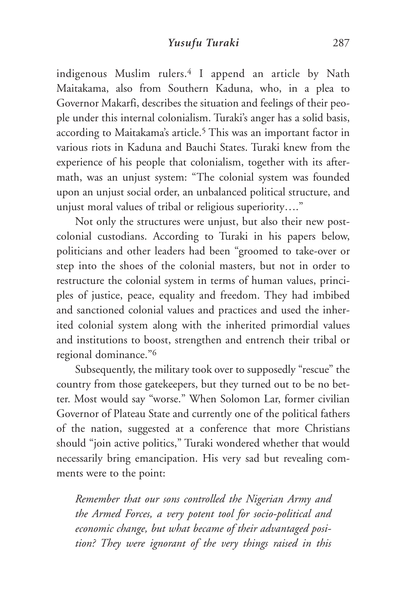indigenous Muslim rulers.4 I append an article by Nath Maitakama, also from Southern Kaduna, who, in a plea to Governor Makarfi, describes the situation and feelings of their people under this internal colonialism. Turaki's anger has a solid basis, according to Maitakama's article.5 This was an important factor in various riots in Kaduna and Bauchi States. Turaki knew from the experience of his people that colonialism, together with its aftermath, was an unjust system: "The colonial system was founded upon an unjust social order, an unbalanced political structure, and unjust moral values of tribal or religious superiority…."

Not only the structures were unjust, but also their new postcolonial custodians. According to Turaki in his papers below, politicians and other leaders had been "groomed to take-over or step into the shoes of the colonial masters, but not in order to restructure the colonial system in terms of human values, principles of justice, peace, equality and freedom. They had imbibed and sanctioned colonial values and practices and used the inherited colonial system along with the inherited primordial values and institutions to boost, strengthen and entrench their tribal or regional dominance."6

Subsequently, the military took over to supposedly "rescue" the country from those gatekeepers, but they turned out to be no better. Most would say "worse." When Solomon Lar, former civilian Governor of Plateau State and currently one of the political fathers of the nation, suggested at a conference that more Christians should "join active politics," Turaki wondered whether that would necessarily bring emancipation. His very sad but revealing comments were to the point:

*Remember that our sons controlled the Nigerian Army and the Armed Forces, a very potent tool for socio-political and economic change, but what became of their advantaged position? They were ignorant of the very things raised in this*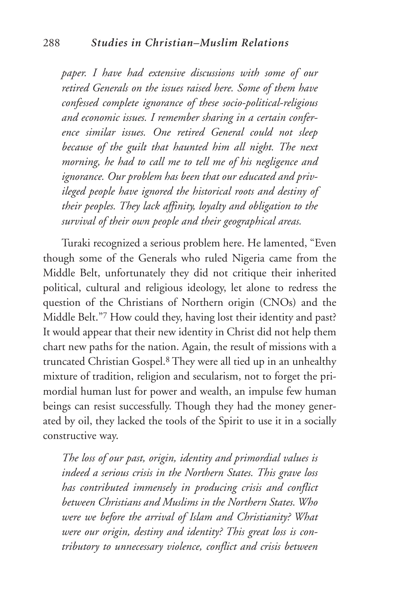*paper. I have had extensive discussions with some of our retired Generals on the issues raised here. Some of them have confessed complete ignorance of these socio-political-religious and economic issues. I remember sharing in a certain conference similar issues. One retired General could not sleep because of the guilt that haunted him all night. The next morning, he had to call me to tell me of his negligence and ignorance. Our problem has been that our educated and privileged people have ignored the historical roots and destiny of their peoples. They lack affinity, loyalty and obligation to the survival of their own people and their geographical areas.*

Turaki recognized a serious problem here. He lamented, "Even though some of the Generals who ruled Nigeria came from the Middle Belt, unfortunately they did not critique their inherited political, cultural and religious ideology, let alone to redress the question of the Christians of Northern origin (CNOs) and the Middle Belt."7 How could they, having lost their identity and past? It would appear that their new identity in Christ did not help them chart new paths for the nation. Again, the result of missions with a truncated Christian Gospel.8 They were all tied up in an unhealthy mixture of tradition, religion and secularism, not to forget the primordial human lust for power and wealth, an impulse few human beings can resist successfully. Though they had the money generated by oil, they lacked the tools of the Spirit to use it in a socially constructive way.

*The loss of our past, origin, identity and primordial values is indeed a serious crisis in the Northern States. This grave loss has contributed immensely in producing crisis and conflict between Christians and Muslims in the Northern States. Who were we before the arrival of Islam and Christianity? What were our origin, destiny and identity? This great loss is contributory to unnecessary violence, conflict and crisis between*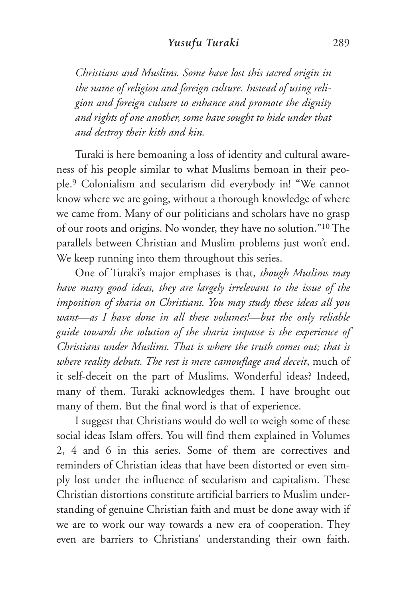*Christians and Muslims. Some have lost this sacred origin in the name of religion and foreign culture. Instead of using religion and foreign culture to enhance and promote the dignity and rights of one another, some have sought to hide under that and destroy their kith and kin.*

Turaki is here bemoaning a loss of identity and cultural awareness of his people similar to what Muslims bemoan in their people.9 Colonialism and secularism did everybody in! "We cannot know where we are going, without a thorough knowledge of where we came from. Many of our politicians and scholars have no grasp of our roots and origins. No wonder, they have no solution."10 The parallels between Christian and Muslim problems just won't end. We keep running into them throughout this series.

One of Turaki's major emphases is that, *though Muslims may have many good ideas, they are largely irrelevant to the issue of the imposition of sharia on Christians. You may study these ideas all you want—as I have done in all these volumes!—but the only reliable guide towards the solution of the sharia impasse is the experience of Christians under Muslims. That is where the truth comes out; that is where reality debuts. The rest is mere camouflage and deceit*, much of it self-deceit on the part of Muslims. Wonderful ideas? Indeed, many of them. Turaki acknowledges them. I have brought out many of them. But the final word is that of experience.

I suggest that Christians would do well to weigh some of these social ideas Islam offers. You will find them explained in Volumes 2, 4 and 6 in this series. Some of them are correctives and reminders of Christian ideas that have been distorted or even simply lost under the influence of secularism and capitalism. These Christian distortions constitute artificial barriers to Muslim understanding of genuine Christian faith and must be done away with if we are to work our way towards a new era of cooperation. They even are barriers to Christians' understanding their own faith.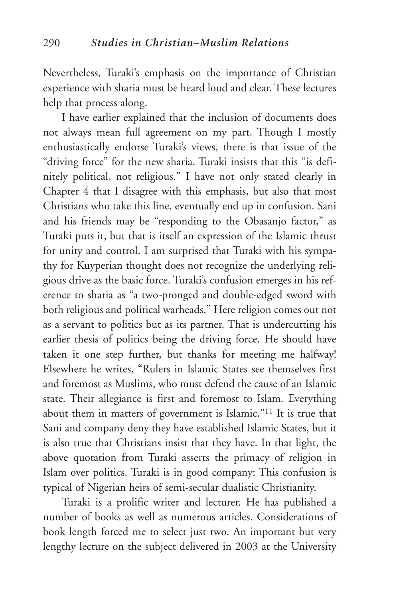Nevertheless, Turaki's emphasis on the importance of Christian experience with sharia must be heard loud and clear. These lectures help that process along.

I have earlier explained that the inclusion of documents does not always mean full agreement on my part. Though I mostly enthusiastically endorse Turaki's views, there is that issue of the "driving force" for the new sharia. Turaki insists that this "is definitely political, not religious." I have not only stated clearly in Chapter 4 that I disagree with this emphasis, but also that most Christians who take this line, eventually end up in confusion. Sani and his friends may be "responding to the Obasanjo factor," as Turaki puts it, but that is itself an expression of the Islamic thrust for unity and control. I am surprised that Turaki with his sympathy for Kuyperian thought does not recognize the underlying religious drive as the basic force. Turaki's confusion emerges in his reference to sharia as "a two-pronged and double-edged sword with both religious and political warheads." Here religion comes out not as a servant to politics but as its partner. That is undercutting his earlier thesis of politics being the driving force. He should have taken it one step further, but thanks for meeting me halfway! Elsewhere he writes, "Rulers in Islamic States see themselves first and foremost as Muslims, who must defend the cause of an Islamic state. Their allegiance is first and foremost to Islam. Everything about them in matters of government is Islamic."11 It is true that Sani and company deny they have established Islamic States, but it is also true that Christians insist that they have. In that light, the above quotation from Turaki asserts the primacy of religion in Islam over politics. Turaki is in good company: This confusion is typical of Nigerian heirs of semi-secular dualistic Christianity.

Turaki is a prolific writer and lecturer. He has published a number of books as well as numerous articles. Considerations of book length forced me to select just two. An important but very lengthy lecture on the subject delivered in 2003 at the University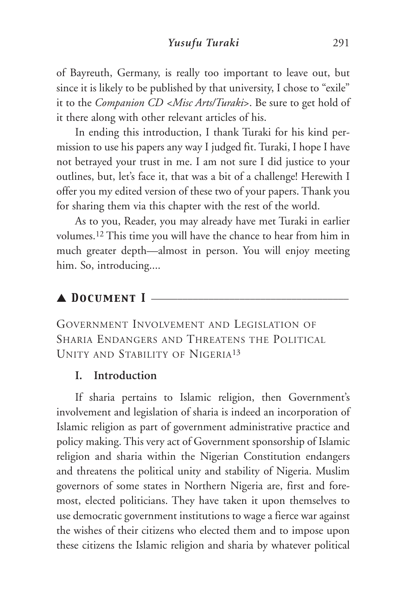of Bayreuth, Germany, is really too important to leave out, but since it is likely to be published by that university, I chose to "exile" it to the *Companion CD <Misc Arts/Turaki*>. Be sure to get hold of it there along with other relevant articles of his.

In ending this introduction, I thank Turaki for his kind permission to use his papers any way I judged fit. Turaki, I hope I have not betrayed your trust in me. I am not sure I did justice to your outlines, but, let's face it, that was a bit of a challenge! Herewith I offer you my edited version of these two of your papers. Thank you for sharing them via this chapter with the rest of the world.

As to you, Reader, you may already have met Turaki in earlier volumes.12 This time you will have the chance to hear from him in much greater depth—almost in person. You will enjoy meeting him. So, introducing....

# ▲ **DOCUMENT I**

GOVERNMENT INVOLVEMENT AND LEGISLATION OF SHARIA ENDANGERS AND THREATENS THE POLITICAL UNITY AND STABILITY OF NIGERIA13

# **I. Introduction**

If sharia pertains to Islamic religion, then Government's involvement and legislation of sharia is indeed an incorporation of Islamic religion as part of government administrative practice and policy making. This very act of Government sponsorship of Islamic religion and sharia within the Nigerian Constitution endangers and threatens the political unity and stability of Nigeria. Muslim governors of some states in Northern Nigeria are, first and foremost, elected politicians. They have taken it upon themselves to use democratic government institutions to wage a fierce war against the wishes of their citizens who elected them and to impose upon these citizens the Islamic religion and sharia by whatever political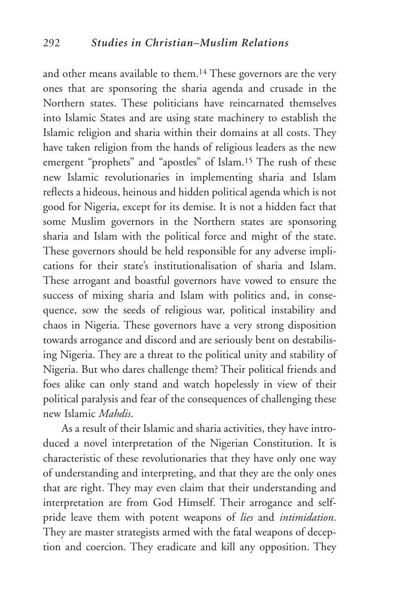and other means available to them.<sup>14</sup> These governors are the very ones that are sponsoring the sharia agenda and crusade in the Northern states. These politicians have reincarnated themselves into Islamic States and are using state machinery to establish the Islamic religion and sharia within their domains at all costs. They have taken religion from the hands of religious leaders as the new emergent "prophets" and "apostles" of Islam.15 The rush of these new Islamic revolutionaries in implementing sharia and Islam reflects a hideous, heinous and hidden political agenda which is not good for Nigeria, except for its demise. It is not a hidden fact that some Muslim governors in the Northern states are sponsoring sharia and Islam with the political force and might of the state. These governors should be held responsible for any adverse implications for their state's institutionalisation of sharia and Islam. These arrogant and boastful governors have vowed to ensure the success of mixing sharia and Islam with politics and, in consequence, sow the seeds of religious war, political instability and chaos in Nigeria. These governors have a very strong disposition towards arrogance and discord and are seriously bent on destabilising Nigeria. They are a threat to the political unity and stability of Nigeria. But who dares challenge them? Their political friends and foes alike can only stand and watch hopelessly in view of their political paralysis and fear of the consequences of challenging these new Islamic *Mahdis*.

As a result of their Islamic and sharia activities, they have introduced a novel interpretation of the Nigerian Constitution. It is characteristic of these revolutionaries that they have only one way of understanding and interpreting, and that they are the only ones that are right. They may even claim that their understanding and interpretation are from God Himself. Their arrogance and selfpride leave them with potent weapons of *lies* and *intimidation*. They are master strategists armed with the fatal weapons of deception and coercion. They eradicate and kill any opposition. They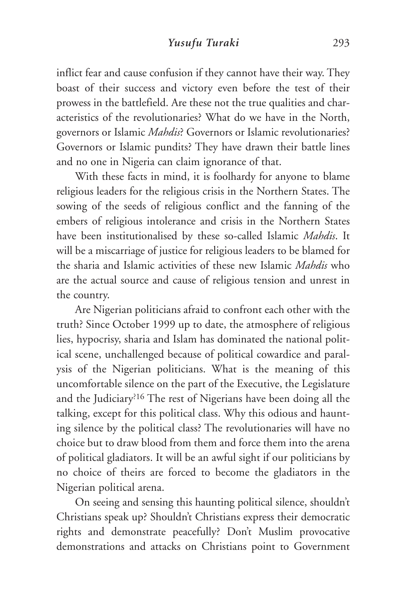inflict fear and cause confusion if they cannot have their way. They boast of their success and victory even before the test of their prowess in the battlefield. Are these not the true qualities and characteristics of the revolutionaries? What do we have in the North, governors or Islamic *Mahdis*? Governors or Islamic revolutionaries? Governors or Islamic pundits? They have drawn their battle lines and no one in Nigeria can claim ignorance of that.

With these facts in mind, it is foolhardy for anyone to blame religious leaders for the religious crisis in the Northern States. The sowing of the seeds of religious conflict and the fanning of the embers of religious intolerance and crisis in the Northern States have been institutionalised by these so-called Islamic *Mahdis*. It will be a miscarriage of justice for religious leaders to be blamed for the sharia and Islamic activities of these new Islamic *Mahdis* who are the actual source and cause of religious tension and unrest in the country.

Are Nigerian politicians afraid to confront each other with the truth? Since October 1999 up to date, the atmosphere of religious lies, hypocrisy, sharia and Islam has dominated the national political scene, unchallenged because of political cowardice and paralysis of the Nigerian politicians. What is the meaning of this uncomfortable silence on the part of the Executive, the Legislature and the Judiciary?16 The rest of Nigerians have been doing all the talking, except for this political class. Why this odious and haunting silence by the political class? The revolutionaries will have no choice but to draw blood from them and force them into the arena of political gladiators. It will be an awful sight if our politicians by no choice of theirs are forced to become the gladiators in the Nigerian political arena.

On seeing and sensing this haunting political silence, shouldn't Christians speak up? Shouldn't Christians express their democratic rights and demonstrate peacefully? Don't Muslim provocative demonstrations and attacks on Christians point to Government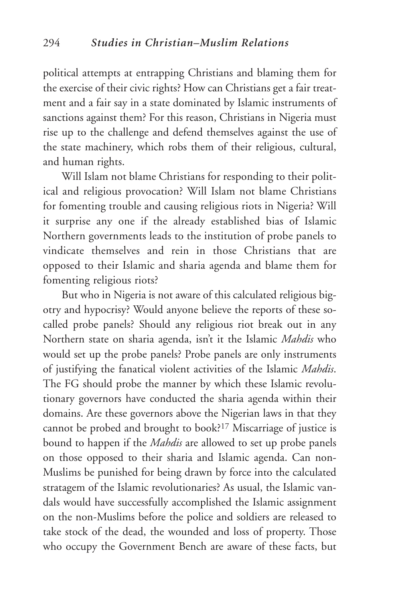political attempts at entrapping Christians and blaming them for the exercise of their civic rights? How can Christians get a fair treatment and a fair say in a state dominated by Islamic instruments of sanctions against them? For this reason, Christians in Nigeria must rise up to the challenge and defend themselves against the use of the state machinery, which robs them of their religious, cultural, and human rights.

Will Islam not blame Christians for responding to their political and religious provocation? Will Islam not blame Christians for fomenting trouble and causing religious riots in Nigeria? Will it surprise any one if the already established bias of Islamic Northern governments leads to the institution of probe panels to vindicate themselves and rein in those Christians that are opposed to their Islamic and sharia agenda and blame them for fomenting religious riots?

But who in Nigeria is not aware of this calculated religious bigotry and hypocrisy? Would anyone believe the reports of these socalled probe panels? Should any religious riot break out in any Northern state on sharia agenda, isn't it the Islamic *Mahdis* who would set up the probe panels? Probe panels are only instruments of justifying the fanatical violent activities of the Islamic *Mahdis*. The FG should probe the manner by which these Islamic revolutionary governors have conducted the sharia agenda within their domains. Are these governors above the Nigerian laws in that they cannot be probed and brought to book?17 Miscarriage of justice is bound to happen if the *Mahdis* are allowed to set up probe panels on those opposed to their sharia and Islamic agenda. Can non-Muslims be punished for being drawn by force into the calculated stratagem of the Islamic revolutionaries? As usual, the Islamic vandals would have successfully accomplished the Islamic assignment on the non-Muslims before the police and soldiers are released to take stock of the dead, the wounded and loss of property. Those who occupy the Government Bench are aware of these facts, but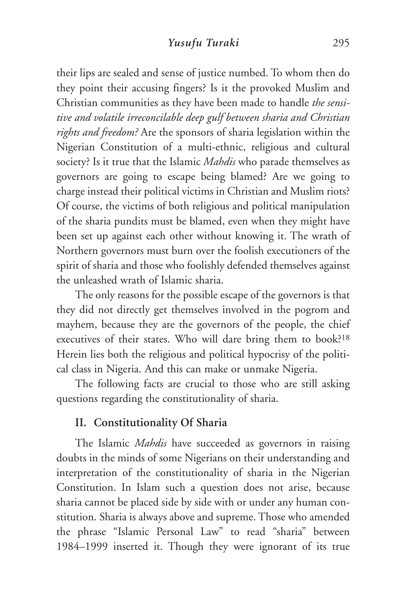their lips are sealed and sense of justice numbed. To whom then do they point their accusing fingers? Is it the provoked Muslim and Christian communities as they have been made to handle *the sensitive and volatile irreconcilable deep gulf between sharia and Christian rights and freedom?* Are the sponsors of sharia legislation within the Nigerian Constitution of a multi-ethnic, religious and cultural society? Is it true that the Islamic *Mahdis* who parade themselves as governors are going to escape being blamed? Are we going to charge instead their political victims in Christian and Muslim riots? Of course, the victims of both religious and political manipulation of the sharia pundits must be blamed, even when they might have been set up against each other without knowing it. The wrath of Northern governors must burn over the foolish executioners of the spirit of sharia and those who foolishly defended themselves against the unleashed wrath of Islamic sharia.

The only reasons for the possible escape of the governors is that they did not directly get themselves involved in the pogrom and mayhem, because they are the governors of the people, the chief executives of their states. Who will dare bring them to book?18 Herein lies both the religious and political hypocrisy of the political class in Nigeria. And this can make or unmake Nigeria.

The following facts are crucial to those who are still asking questions regarding the constitutionality of sharia.

## **II. Constitutionality Of Sharia**

The Islamic *Mahdis* have succeeded as governors in raising doubts in the minds of some Nigerians on their understanding and interpretation of the constitutionality of sharia in the Nigerian Constitution. In Islam such a question does not arise, because sharia cannot be placed side by side with or under any human constitution. Sharia is always above and supreme. Those who amended the phrase "Islamic Personal Law" to read "sharia" between 1984–1999 inserted it. Though they were ignorant of its true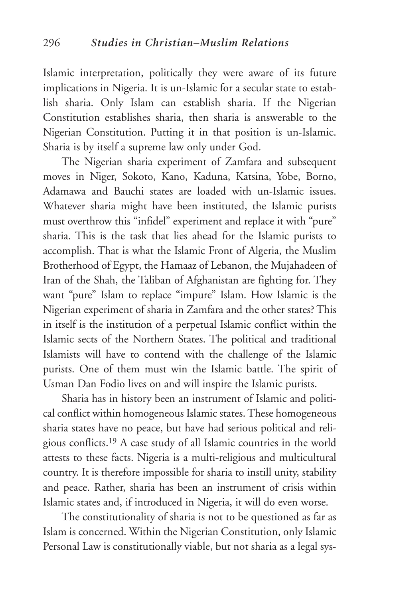Islamic interpretation, politically they were aware of its future implications in Nigeria. It is un-Islamic for a secular state to establish sharia. Only Islam can establish sharia. If the Nigerian Constitution establishes sharia, then sharia is answerable to the Nigerian Constitution. Putting it in that position is un-Islamic. Sharia is by itself a supreme law only under God.

The Nigerian sharia experiment of Zamfara and subsequent moves in Niger, Sokoto, Kano, Kaduna, Katsina, Yobe, Borno, Adamawa and Bauchi states are loaded with un-Islamic issues. Whatever sharia might have been instituted, the Islamic purists must overthrow this "infidel" experiment and replace it with "pure" sharia. This is the task that lies ahead for the Islamic purists to accomplish. That is what the Islamic Front of Algeria, the Muslim Brotherhood of Egypt, the Hamaaz of Lebanon, the Mujahadeen of Iran of the Shah, the Taliban of Afghanistan are fighting for. They want "pure" Islam to replace "impure" Islam. How Islamic is the Nigerian experiment of sharia in Zamfara and the other states? This in itself is the institution of a perpetual Islamic conflict within the Islamic sects of the Northern States. The political and traditional Islamists will have to contend with the challenge of the Islamic purists. One of them must win the Islamic battle. The spirit of Usman Dan Fodio lives on and will inspire the Islamic purists.

Sharia has in history been an instrument of Islamic and political conflict within homogeneous Islamic states. These homogeneous sharia states have no peace, but have had serious political and religious conflicts.19 A case study of all Islamic countries in the world attests to these facts. Nigeria is a multi-religious and multicultural country. It is therefore impossible for sharia to instill unity, stability and peace. Rather, sharia has been an instrument of crisis within Islamic states and, if introduced in Nigeria, it will do even worse.

The constitutionality of sharia is not to be questioned as far as Islam is concerned. Within the Nigerian Constitution, only Islamic Personal Law is constitutionally viable, but not sharia as a legal sys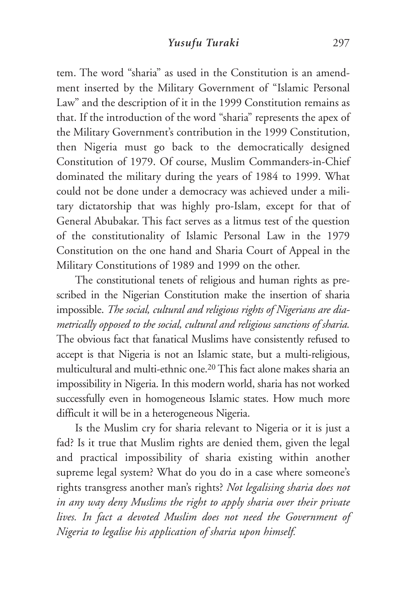tem. The word "sharia" as used in the Constitution is an amendment inserted by the Military Government of "Islamic Personal Law" and the description of it in the 1999 Constitution remains as that. If the introduction of the word "sharia" represents the apex of the Military Government's contribution in the 1999 Constitution, then Nigeria must go back to the democratically designed Constitution of 1979. Of course, Muslim Commanders-in-Chief dominated the military during the years of 1984 to 1999. What could not be done under a democracy was achieved under a military dictatorship that was highly pro-Islam, except for that of General Abubakar. This fact serves as a litmus test of the question of the constitutionality of Islamic Personal Law in the 1979 Constitution on the one hand and Sharia Court of Appeal in the Military Constitutions of 1989 and 1999 on the other.

The constitutional tenets of religious and human rights as prescribed in the Nigerian Constitution make the insertion of sharia impossible. *The social, cultural and religious rights of Nigerians are diametrically opposed to the social, cultural and religious sanctions of sharia.* The obvious fact that fanatical Muslims have consistently refused to accept is that Nigeria is not an Islamic state, but a multi-religious, multicultural and multi-ethnic one.20 This fact alone makes sharia an impossibility in Nigeria. In this modern world, sharia has not worked successfully even in homogeneous Islamic states. How much more difficult it will be in a heterogeneous Nigeria.

Is the Muslim cry for sharia relevant to Nigeria or it is just a fad? Is it true that Muslim rights are denied them, given the legal and practical impossibility of sharia existing within another supreme legal system? What do you do in a case where someone's rights transgress another man's rights? *Not legalising sharia does not in any way deny Muslims the right to apply sharia over their private lives. In fact a devoted Muslim does not need the Government of Nigeria to legalise his application of sharia upon himself.*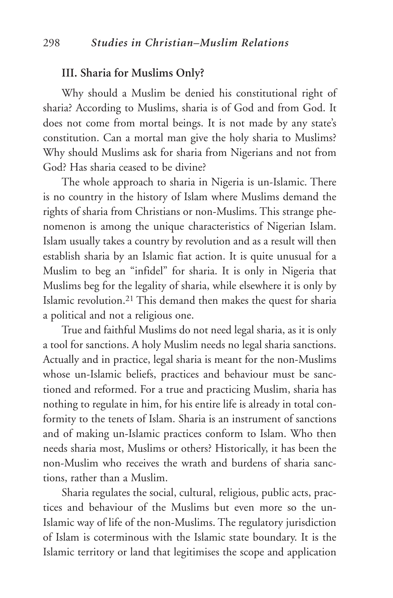#### **III. Sharia for Muslims Only?**

Why should a Muslim be denied his constitutional right of sharia? According to Muslims, sharia is of God and from God. It does not come from mortal beings. It is not made by any state's constitution. Can a mortal man give the holy sharia to Muslims? Why should Muslims ask for sharia from Nigerians and not from God? Has sharia ceased to be divine?

The whole approach to sharia in Nigeria is un-Islamic. There is no country in the history of Islam where Muslims demand the rights of sharia from Christians or non-Muslims. This strange phenomenon is among the unique characteristics of Nigerian Islam. Islam usually takes a country by revolution and as a result will then establish sharia by an Islamic fiat action. It is quite unusual for a Muslim to beg an "infidel" for sharia. It is only in Nigeria that Muslims beg for the legality of sharia, while elsewhere it is only by Islamic revolution.21 This demand then makes the quest for sharia a political and not a religious one.

True and faithful Muslims do not need legal sharia, as it is only a tool for sanctions. A holy Muslim needs no legal sharia sanctions. Actually and in practice, legal sharia is meant for the non-Muslims whose un-Islamic beliefs, practices and behaviour must be sanctioned and reformed. For a true and practicing Muslim, sharia has nothing to regulate in him, for his entire life is already in total conformity to the tenets of Islam. Sharia is an instrument of sanctions and of making un-Islamic practices conform to Islam. Who then needs sharia most, Muslims or others? Historically, it has been the non-Muslim who receives the wrath and burdens of sharia sanctions, rather than a Muslim.

Sharia regulates the social, cultural, religious, public acts, practices and behaviour of the Muslims but even more so the un-Islamic way of life of the non-Muslims. The regulatory jurisdiction of Islam is coterminous with the Islamic state boundary. It is the Islamic territory or land that legitimises the scope and application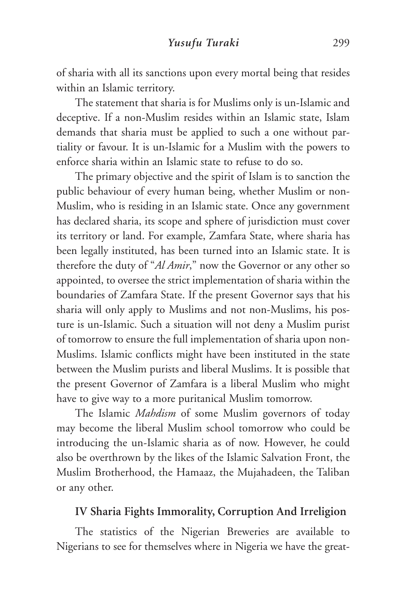of sharia with all its sanctions upon every mortal being that resides within an Islamic territory.

The statement that sharia is for Muslims only is un-Islamic and deceptive. If a non-Muslim resides within an Islamic state, Islam demands that sharia must be applied to such a one without partiality or favour. It is un-Islamic for a Muslim with the powers to enforce sharia within an Islamic state to refuse to do so.

The primary objective and the spirit of Islam is to sanction the public behaviour of every human being, whether Muslim or non-Muslim, who is residing in an Islamic state. Once any government has declared sharia, its scope and sphere of jurisdiction must cover its territory or land. For example, Zamfara State, where sharia has been legally instituted, has been turned into an Islamic state. It is therefore the duty of "*Al Amir*," now the Governor or any other so appointed, to oversee the strict implementation of sharia within the boundaries of Zamfara State. If the present Governor says that his sharia will only apply to Muslims and not non-Muslims, his posture is un-Islamic. Such a situation will not deny a Muslim purist of tomorrow to ensure the full implementation of sharia upon non-Muslims. Islamic conflicts might have been instituted in the state between the Muslim purists and liberal Muslims. It is possible that the present Governor of Zamfara is a liberal Muslim who might have to give way to a more puritanical Muslim tomorrow.

The Islamic *Mahdism* of some Muslim governors of today may become the liberal Muslim school tomorrow who could be introducing the un-Islamic sharia as of now. However, he could also be overthrown by the likes of the Islamic Salvation Front, the Muslim Brotherhood, the Hamaaz, the Mujahadeen, the Taliban or any other.

## **IV Sharia Fights Immorality, Corruption And Irreligion**

The statistics of the Nigerian Breweries are available to Nigerians to see for themselves where in Nigeria we have the great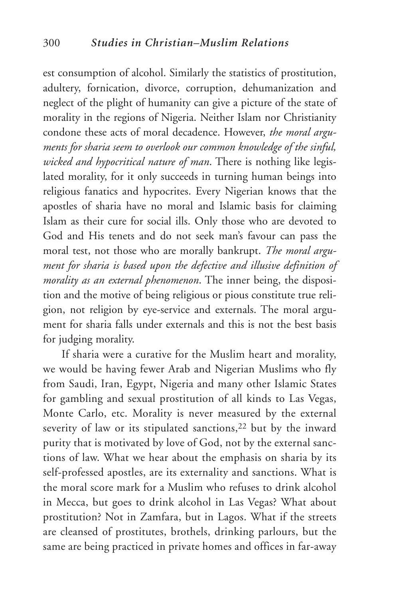est consumption of alcohol. Similarly the statistics of prostitution, adultery, fornication, divorce, corruption, dehumanization and neglect of the plight of humanity can give a picture of the state of morality in the regions of Nigeria. Neither Islam nor Christianity condone these acts of moral decadence. However, *the moral arguments for sharia seem to overlook our common knowledge of the sinful, wicked and hypocritical nature of man*. There is nothing like legislated morality, for it only succeeds in turning human beings into religious fanatics and hypocrites. Every Nigerian knows that the apostles of sharia have no moral and Islamic basis for claiming Islam as their cure for social ills. Only those who are devoted to God and His tenets and do not seek man's favour can pass the moral test, not those who are morally bankrupt. *The moral argument for sharia is based upon the defective and illusive definition of morality as an external phenomenon*. The inner being, the disposition and the motive of being religious or pious constitute true religion, not religion by eye-service and externals. The moral argument for sharia falls under externals and this is not the best basis for judging morality.

If sharia were a curative for the Muslim heart and morality, we would be having fewer Arab and Nigerian Muslims who fly from Saudi, Iran, Egypt, Nigeria and many other Islamic States for gambling and sexual prostitution of all kinds to Las Vegas, Monte Carlo, etc. Morality is never measured by the external severity of law or its stipulated sanctions,<sup>22</sup> but by the inward purity that is motivated by love of God, not by the external sanctions of law. What we hear about the emphasis on sharia by its self-professed apostles, are its externality and sanctions. What is the moral score mark for a Muslim who refuses to drink alcohol in Mecca, but goes to drink alcohol in Las Vegas? What about prostitution? Not in Zamfara, but in Lagos. What if the streets are cleansed of prostitutes, brothels, drinking parlours, but the same are being practiced in private homes and offices in far-away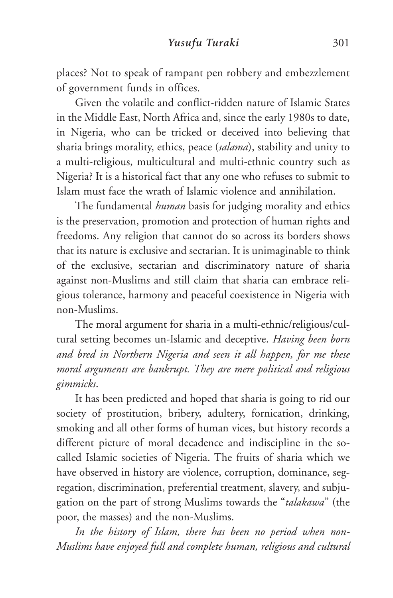places? Not to speak of rampant pen robbery and embezzlement of government funds in offices.

Given the volatile and conflict-ridden nature of Islamic States in the Middle East, North Africa and, since the early 1980s to date, in Nigeria, who can be tricked or deceived into believing that sharia brings morality, ethics, peace (*salama*), stability and unity to a multi-religious, multicultural and multi-ethnic country such as Nigeria? It is a historical fact that any one who refuses to submit to Islam must face the wrath of Islamic violence and annihilation.

The fundamental *human* basis for judging morality and ethics is the preservation, promotion and protection of human rights and freedoms. Any religion that cannot do so across its borders shows that its nature is exclusive and sectarian. It is unimaginable to think of the exclusive, sectarian and discriminatory nature of sharia against non-Muslims and still claim that sharia can embrace religious tolerance, harmony and peaceful coexistence in Nigeria with non-Muslims.

The moral argument for sharia in a multi-ethnic/religious/cultural setting becomes un-Islamic and deceptive. *Having been born and bred in Northern Nigeria and seen it all happen, for me these moral arguments are bankrupt. They are mere political and religious gimmicks*.

It has been predicted and hoped that sharia is going to rid our society of prostitution, bribery, adultery, fornication, drinking, smoking and all other forms of human vices, but history records a different picture of moral decadence and indiscipline in the socalled Islamic societies of Nigeria. The fruits of sharia which we have observed in history are violence, corruption, dominance, segregation, discrimination, preferential treatment, slavery, and subjugation on the part of strong Muslims towards the "*talakawa*" (the poor, the masses) and the non-Muslims.

*In the history of Islam, there has been no period when non-Muslims have enjoyed full and complete human, religious and cultural*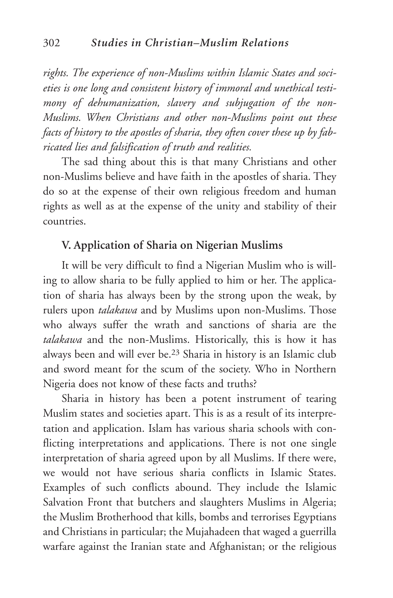*rights. The experience of non-Muslims within Islamic States and societies is one long and consistent history of immoral and unethical testimony of dehumanization, slavery and subjugation of the non-Muslims. When Christians and other non-Muslims point out these facts of history to the apostles of sharia, they often cover these up by fabricated lies and falsification of truth and realities.*

The sad thing about this is that many Christians and other non-Muslims believe and have faith in the apostles of sharia. They do so at the expense of their own religious freedom and human rights as well as at the expense of the unity and stability of their countries.

# **V. Application of Sharia on Nigerian Muslims**

It will be very difficult to find a Nigerian Muslim who is willing to allow sharia to be fully applied to him or her. The application of sharia has always been by the strong upon the weak, by rulers upon *talakawa* and by Muslims upon non-Muslims. Those who always suffer the wrath and sanctions of sharia are the *talakawa* and the non-Muslims. Historically, this is how it has always been and will ever be.23 Sharia in history is an Islamic club and sword meant for the scum of the society. Who in Northern Nigeria does not know of these facts and truths?

Sharia in history has been a potent instrument of tearing Muslim states and societies apart. This is as a result of its interpretation and application. Islam has various sharia schools with conflicting interpretations and applications. There is not one single interpretation of sharia agreed upon by all Muslims. If there were, we would not have serious sharia conflicts in Islamic States. Examples of such conflicts abound. They include the Islamic Salvation Front that butchers and slaughters Muslims in Algeria; the Muslim Brotherhood that kills, bombs and terrorises Egyptians and Christians in particular; the Mujahadeen that waged a guerrilla warfare against the Iranian state and Afghanistan; or the religious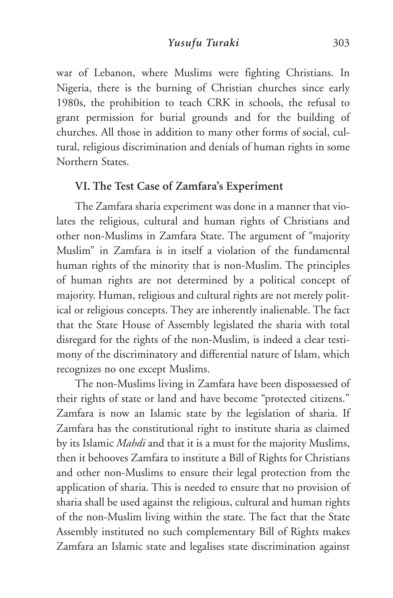war of Lebanon, where Muslims were fighting Christians. In Nigeria, there is the burning of Christian churches since early 1980s, the prohibition to teach CRK in schools, the refusal to grant permission for burial grounds and for the building of churches. All those in addition to many other forms of social, cultural, religious discrimination and denials of human rights in some Northern States.

# **VI. The Test Case of Zamfara's Experiment**

The Zamfara sharia experiment was done in a manner that violates the religious, cultural and human rights of Christians and other non-Muslims in Zamfara State. The argument of "majority Muslim" in Zamfara is in itself a violation of the fundamental human rights of the minority that is non-Muslim. The principles of human rights are not determined by a political concept of majority. Human, religious and cultural rights are not merely political or religious concepts. They are inherently inalienable. The fact that the State House of Assembly legislated the sharia with total disregard for the rights of the non-Muslim, is indeed a clear testimony of the discriminatory and differential nature of Islam, which recognizes no one except Muslims.

The non-Muslims living in Zamfara have been dispossessed of their rights of state or land and have become "protected citizens." Zamfara is now an Islamic state by the legislation of sharia. If Zamfara has the constitutional right to institute sharia as claimed by its Islamic *Mahdi* and that it is a must for the majority Muslims, then it behooves Zamfara to institute a Bill of Rights for Christians and other non-Muslims to ensure their legal protection from the application of sharia. This is needed to ensure that no provision of sharia shall be used against the religious, cultural and human rights of the non-Muslim living within the state. The fact that the State Assembly instituted no such complementary Bill of Rights makes Zamfara an Islamic state and legalises state discrimination against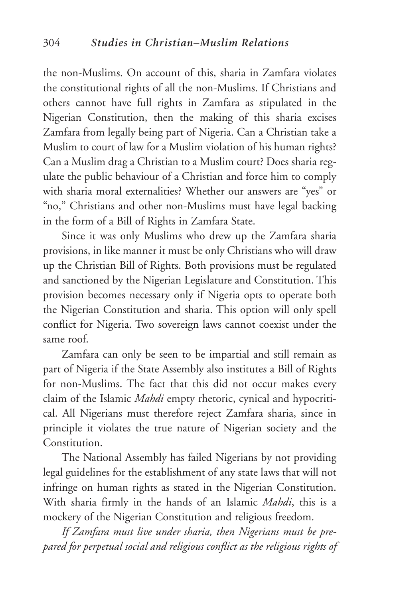the non-Muslims. On account of this, sharia in Zamfara violates the constitutional rights of all the non-Muslims. If Christians and others cannot have full rights in Zamfara as stipulated in the Nigerian Constitution, then the making of this sharia excises Zamfara from legally being part of Nigeria. Can a Christian take a Muslim to court of law for a Muslim violation of his human rights? Can a Muslim drag a Christian to a Muslim court? Does sharia regulate the public behaviour of a Christian and force him to comply with sharia moral externalities? Whether our answers are "yes" or "no," Christians and other non-Muslims must have legal backing in the form of a Bill of Rights in Zamfara State.

Since it was only Muslims who drew up the Zamfara sharia provisions, in like manner it must be only Christians who will draw up the Christian Bill of Rights. Both provisions must be regulated and sanctioned by the Nigerian Legislature and Constitution. This provision becomes necessary only if Nigeria opts to operate both the Nigerian Constitution and sharia. This option will only spell conflict for Nigeria. Two sovereign laws cannot coexist under the same roof.

Zamfara can only be seen to be impartial and still remain as part of Nigeria if the State Assembly also institutes a Bill of Rights for non-Muslims. The fact that this did not occur makes every claim of the Islamic *Mahdi* empty rhetoric, cynical and hypocritical. All Nigerians must therefore reject Zamfara sharia, since in principle it violates the true nature of Nigerian society and the **Constitution** 

The National Assembly has failed Nigerians by not providing legal guidelines for the establishment of any state laws that will not infringe on human rights as stated in the Nigerian Constitution. With sharia firmly in the hands of an Islamic *Mahdi*, this is a mockery of the Nigerian Constitution and religious freedom.

*If Zamfara must live under sharia, then Nigerians must be prepared for perpetual social and religious conflict as the religious rights of*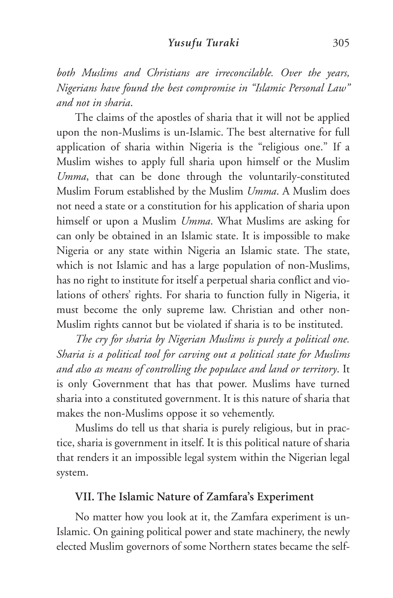*both Muslims and Christians are irreconcilable. Over the years, Nigerians have found the best compromise in "Islamic Personal Law" and not in sharia*.

The claims of the apostles of sharia that it will not be applied upon the non-Muslims is un-Islamic. The best alternative for full application of sharia within Nigeria is the "religious one." If a Muslim wishes to apply full sharia upon himself or the Muslim *Umma*, that can be done through the voluntarily-constituted Muslim Forum established by the Muslim *Umma*. A Muslim does not need a state or a constitution for his application of sharia upon himself or upon a Muslim *Umma*. What Muslims are asking for can only be obtained in an Islamic state. It is impossible to make Nigeria or any state within Nigeria an Islamic state. The state, which is not Islamic and has a large population of non-Muslims, has no right to institute for itself a perpetual sharia conflict and violations of others' rights. For sharia to function fully in Nigeria, it must become the only supreme law. Christian and other non-Muslim rights cannot but be violated if sharia is to be instituted.

*The cry for sharia by Nigerian Muslims is purely a political one. Sharia is a political tool for carving out a political state for Muslims and also as means of controlling the populace and land or territory*. It is only Government that has that power. Muslims have turned sharia into a constituted government. It is this nature of sharia that makes the non-Muslims oppose it so vehemently.

Muslims do tell us that sharia is purely religious, but in practice, sharia is government in itself. It is this political nature of sharia that renders it an impossible legal system within the Nigerian legal system.

# **VII. The Islamic Nature of Zamfara's Experiment**

No matter how you look at it, the Zamfara experiment is un-Islamic. On gaining political power and state machinery, the newly elected Muslim governors of some Northern states became the self-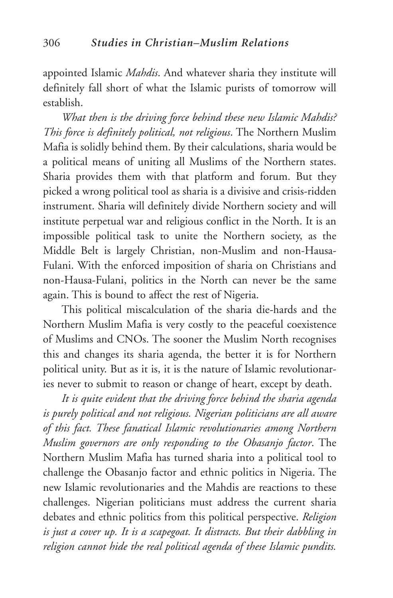appointed Islamic *Mahdis*. And whatever sharia they institute will definitely fall short of what the Islamic purists of tomorrow will establish.

*What then is the driving force behind these new Islamic Mahdis? This force is definitely political, not religious*. The Northern Muslim Mafia is solidly behind them. By their calculations, sharia would be a political means of uniting all Muslims of the Northern states. Sharia provides them with that platform and forum. But they picked a wrong political tool as sharia is a divisive and crisis-ridden instrument. Sharia will definitely divide Northern society and will institute perpetual war and religious conflict in the North. It is an impossible political task to unite the Northern society, as the Middle Belt is largely Christian, non-Muslim and non-Hausa-Fulani. With the enforced imposition of sharia on Christians and non-Hausa-Fulani, politics in the North can never be the same again. This is bound to affect the rest of Nigeria.

This political miscalculation of the sharia die-hards and the Northern Muslim Mafia is very costly to the peaceful coexistence of Muslims and CNOs. The sooner the Muslim North recognises this and changes its sharia agenda, the better it is for Northern political unity. But as it is, it is the nature of Islamic revolutionaries never to submit to reason or change of heart, except by death.

*It is quite evident that the driving force behind the sharia agenda is purely political and not religious. Nigerian politicians are all aware of this fact. These fanatical Islamic revolutionaries among Northern Muslim governors are only responding to the Obasanjo factor*. The Northern Muslim Mafia has turned sharia into a political tool to challenge the Obasanjo factor and ethnic politics in Nigeria. The new Islamic revolutionaries and the Mahdis are reactions to these challenges. Nigerian politicians must address the current sharia debates and ethnic politics from this political perspective. *Religion is just a cover up. It is a scapegoat. It distracts. But their dabbling in religion cannot hide the real political agenda of these Islamic pundits.*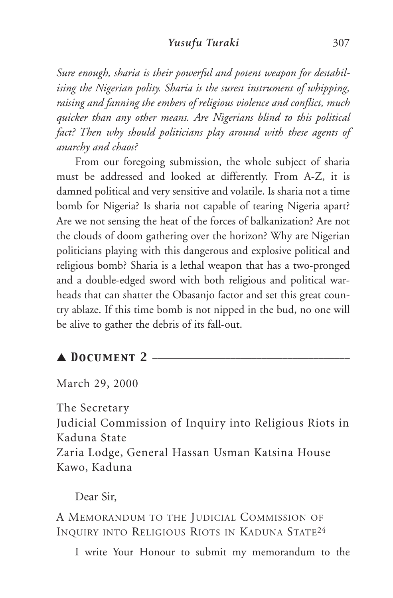*Sure enough, sharia is their powerful and potent weapon for destabilising the Nigerian polity. Sharia is the surest instrument of whipping, raising and fanning the embers of religious violence and conflict, much quicker than any other means. Are Nigerians blind to this political fact? Then why should politicians play around with these agents of anarchy and chaos?*

From our foregoing submission, the whole subject of sharia must be addressed and looked at differently. From A-Z, it is damned political and very sensitive and volatile. Is sharia not a time bomb for Nigeria? Is sharia not capable of tearing Nigeria apart? Are we not sensing the heat of the forces of balkanization? Are not the clouds of doom gathering over the horizon? Why are Nigerian politicians playing with this dangerous and explosive political and religious bomb? Sharia is a lethal weapon that has a two-pronged and a double-edged sword with both religious and political warheads that can shatter the Obasanjo factor and set this great country ablaze. If this time bomb is not nipped in the bud, no one will be alive to gather the debris of its fall-out.

# $\blacktriangle$  DOCUMENT 2  $-$

March 29, 2000

The Secretary

Judicial Commission of Inquiry into Religious Riots in Kaduna State

Zaria Lodge, General Hassan Usman Katsina House Kawo, Kaduna

## Dear Sir,

A MEMORANDUM TO THE JUDICIAL COMMISSION OF INQUIRY INTO RELIGIOUS RIOTS IN KADUNA STATE24

I write Your Honour to submit my memorandum to the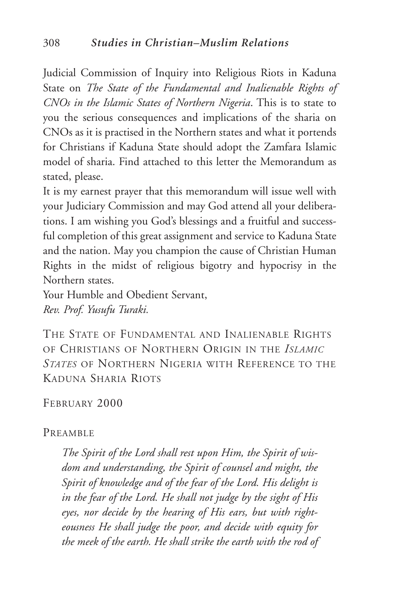Judicial Commission of Inquiry into Religious Riots in Kaduna State on *The State of the Fundamental and Inalienable Rights of CNOs in the Islamic States of Northern Nigeria*. This is to state to you the serious consequences and implications of the sharia on CNOs as it is practised in the Northern states and what it portends for Christians if Kaduna State should adopt the Zamfara Islamic model of sharia. Find attached to this letter the Memorandum as stated, please.

It is my earnest prayer that this memorandum will issue well with your Judiciary Commission and may God attend all your deliberations. I am wishing you God's blessings and a fruitful and successful completion of this great assignment and service to Kaduna State and the nation. May you champion the cause of Christian Human Rights in the midst of religious bigotry and hypocrisy in the Northern states.

Your Humble and Obedient Servant, *Rev. Prof. Yusufu Turaki.*

THE STATE OF FUNDAMENTAL AND INALIENABLE RIGHTS OF CHRISTIANS OF NORTHERN ORIGIN IN THE *ISLAMIC STATES* OF NORTHERN NIGERIA WITH REFERENCE TO THE KADUNA SHARIA RIOTS

FEBRUARY 2000

#### PREAMBLE

*The Spirit of the Lord shall rest upon Him, the Spirit of wisdom and understanding, the Spirit of counsel and might, the Spirit of knowledge and of the fear of the Lord. His delight is in the fear of the Lord. He shall not judge by the sight of His eyes, nor decide by the hearing of His ears, but with righteousness He shall judge the poor, and decide with equity for the meek of the earth. He shall strike the earth with the rod of*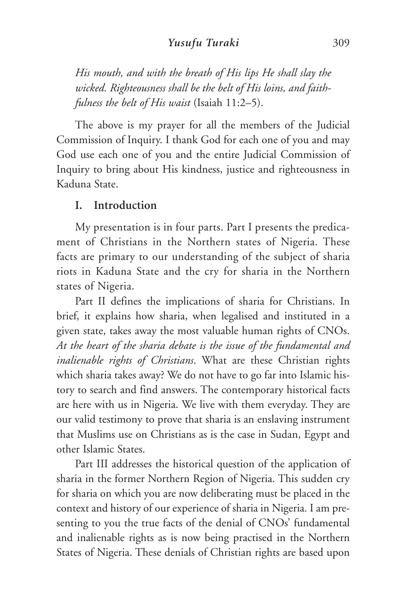*His mouth, and with the breath of His lips He shall slay the wicked. Righteousness shall be the belt of His loins, and faithfulness the belt of His waist* (Isaiah 11:2–5).

The above is my prayer for all the members of the Judicial Commission of Inquiry. I thank God for each one of you and may God use each one of you and the entire Judicial Commission of Inquiry to bring about His kindness, justice and righteousness in Kaduna State.

#### **I. Introduction**

My presentation is in four parts. Part I presents the predicament of Christians in the Northern states of Nigeria. These facts are primary to our understanding of the subject of sharia riots in Kaduna State and the cry for sharia in the Northern states of Nigeria.

Part II defines the implications of sharia for Christians. In brief, it explains how sharia, when legalised and instituted in a given state, takes away the most valuable human rights of CNOs. *At the heart of the sharia debate is the issue of the fundamental and inalienable rights of Christians*. What are these Christian rights which sharia takes away? We do not have to go far into Islamic history to search and find answers. The contemporary historical facts are here with us in Nigeria. We live with them everyday. They are our valid testimony to prove that sharia is an enslaving instrument that Muslims use on Christians as is the case in Sudan, Egypt and other Islamic States.

Part III addresses the historical question of the application of sharia in the former Northern Region of Nigeria. This sudden cry for sharia on which you are now deliberating must be placed in the context and history of our experience of sharia in Nigeria. I am presenting to you the true facts of the denial of CNOs' fundamental and inalienable rights as is now being practised in the Northern States of Nigeria. These denials of Christian rights are based upon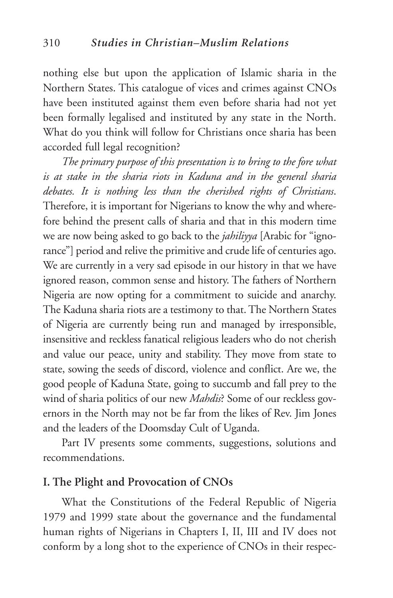nothing else but upon the application of Islamic sharia in the Northern States. This catalogue of vices and crimes against CNOs have been instituted against them even before sharia had not yet been formally legalised and instituted by any state in the North. What do you think will follow for Christians once sharia has been accorded full legal recognition?

*The primary purpose of this presentation is to bring to the fore what is at stake in the sharia riots in Kaduna and in the general sharia debates. It is nothing less than the cherished rights of Christians*. Therefore, it is important for Nigerians to know the why and wherefore behind the present calls of sharia and that in this modern time we are now being asked to go back to the *jahiliyya* [Arabic for "ignorance"] period and relive the primitive and crude life of centuries ago. We are currently in a very sad episode in our history in that we have ignored reason, common sense and history. The fathers of Northern Nigeria are now opting for a commitment to suicide and anarchy. The Kaduna sharia riots are a testimony to that. The Northern States of Nigeria are currently being run and managed by irresponsible, insensitive and reckless fanatical religious leaders who do not cherish and value our peace, unity and stability. They move from state to state, sowing the seeds of discord, violence and conflict. Are we, the good people of Kaduna State, going to succumb and fall prey to the wind of sharia politics of our new *Mahdis*? Some of our reckless governors in the North may not be far from the likes of Rev. Jim Jones and the leaders of the Doomsday Cult of Uganda.

Part IV presents some comments, suggestions, solutions and recommendations.

# **I. The Plight and Provocation of CNOs**

What the Constitutions of the Federal Republic of Nigeria 1979 and 1999 state about the governance and the fundamental human rights of Nigerians in Chapters I, II, III and IV does not conform by a long shot to the experience of CNOs in their respec-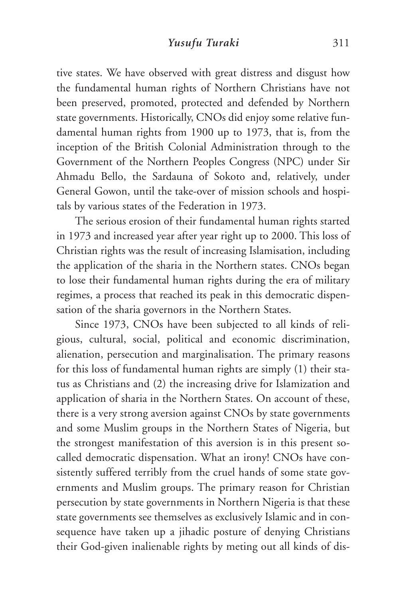tive states. We have observed with great distress and disgust how the fundamental human rights of Northern Christians have not been preserved, promoted, protected and defended by Northern state governments. Historically, CNOs did enjoy some relative fundamental human rights from 1900 up to 1973, that is, from the inception of the British Colonial Administration through to the Government of the Northern Peoples Congress (NPC) under Sir Ahmadu Bello, the Sardauna of Sokoto and, relatively, under General Gowon, until the take-over of mission schools and hospitals by various states of the Federation in 1973.

The serious erosion of their fundamental human rights started in 1973 and increased year after year right up to 2000. This loss of Christian rights was the result of increasing Islamisation, including the application of the sharia in the Northern states. CNOs began to lose their fundamental human rights during the era of military regimes, a process that reached its peak in this democratic dispensation of the sharia governors in the Northern States.

Since 1973, CNOs have been subjected to all kinds of religious, cultural, social, political and economic discrimination, alienation, persecution and marginalisation. The primary reasons for this loss of fundamental human rights are simply (1) their status as Christians and (2) the increasing drive for Islamization and application of sharia in the Northern States. On account of these, there is a very strong aversion against CNOs by state governments and some Muslim groups in the Northern States of Nigeria, but the strongest manifestation of this aversion is in this present socalled democratic dispensation. What an irony! CNOs have consistently suffered terribly from the cruel hands of some state governments and Muslim groups. The primary reason for Christian persecution by state governments in Northern Nigeria is that these state governments see themselves as exclusively Islamic and in consequence have taken up a jihadic posture of denying Christians their God-given inalienable rights by meting out all kinds of dis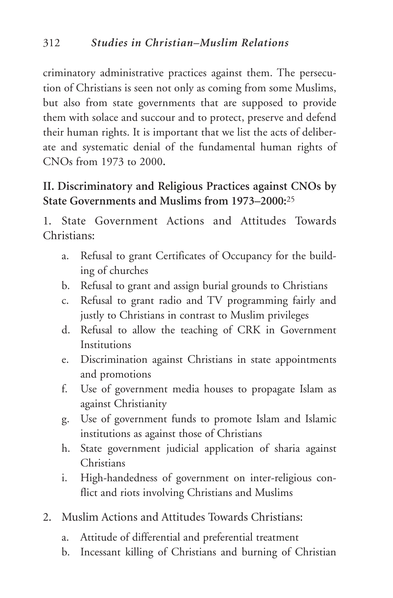criminatory administrative practices against them. The persecution of Christians is seen not only as coming from some Muslims, but also from state governments that are supposed to provide them with solace and succour and to protect, preserve and defend their human rights. It is important that we list the acts of deliberate and systematic denial of the fundamental human rights of CNOs from 1973 to 2000**.**

# **II. Discriminatory and Religious Practices against CNOs by State Governments and Muslims from 1973–2000:**<sup>25</sup>

1. State Government Actions and Attitudes Towards Christians:

- a. Refusal to grant Certificates of Occupancy for the building of churches
- b. Refusal to grant and assign burial grounds to Christians
- c. Refusal to grant radio and TV programming fairly and justly to Christians in contrast to Muslim privileges
- d. Refusal to allow the teaching of CRK in Government Institutions
- e. Discrimination against Christians in state appointments and promotions
- f. Use of government media houses to propagate Islam as against Christianity
- g. Use of government funds to promote Islam and Islamic institutions as against those of Christians
- h. State government judicial application of sharia against **Christians**
- i. High-handedness of government on inter-religious conflict and riots involving Christians and Muslims
- 2. Muslim Actions and Attitudes Towards Christians:
	- a. Attitude of differential and preferential treatment
	- b. Incessant killing of Christians and burning of Christian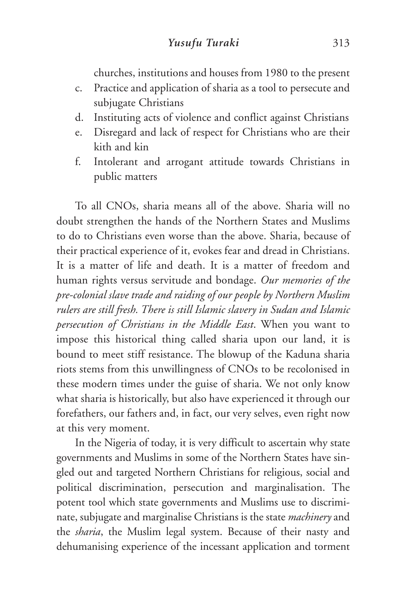churches, institutions and houses from 1980 to the present

- c. Practice and application of sharia as a tool to persecute and subjugate Christians
- d. Instituting acts of violence and conflict against Christians
- e. Disregard and lack of respect for Christians who are their kith and kin
- f. Intolerant and arrogant attitude towards Christians in public matters

To all CNOs, sharia means all of the above. Sharia will no doubt strengthen the hands of the Northern States and Muslims to do to Christians even worse than the above. Sharia, because of their practical experience of it, evokes fear and dread in Christians. It is a matter of life and death. It is a matter of freedom and human rights versus servitude and bondage. *Our memories of the pre-colonial slave trade and raiding of our people by Northern Muslim rulers are still fresh. There is still Islamic slavery in Sudan and Islamic persecution of Christians in the Middle East*. When you want to impose this historical thing called sharia upon our land, it is bound to meet stiff resistance. The blowup of the Kaduna sharia riots stems from this unwillingness of CNOs to be recolonised in these modern times under the guise of sharia. We not only know what sharia is historically, but also have experienced it through our forefathers, our fathers and, in fact, our very selves, even right now at this very moment.

In the Nigeria of today, it is very difficult to ascertain why state governments and Muslims in some of the Northern States have singled out and targeted Northern Christians for religious, social and political discrimination, persecution and marginalisation. The potent tool which state governments and Muslims use to discriminate, subjugate and marginalise Christians is the state *machinery* and the *sharia*, the Muslim legal system. Because of their nasty and dehumanising experience of the incessant application and torment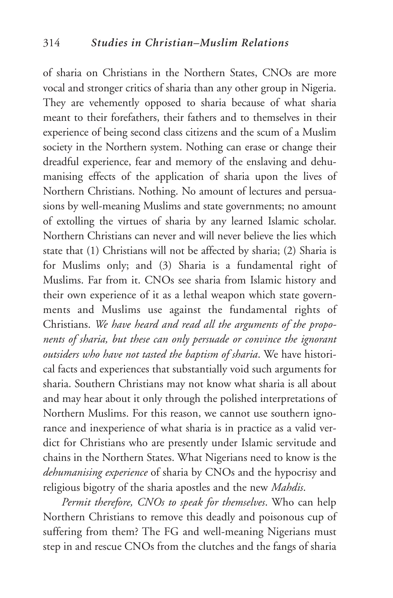of sharia on Christians in the Northern States, CNOs are more vocal and stronger critics of sharia than any other group in Nigeria. They are vehemently opposed to sharia because of what sharia meant to their forefathers, their fathers and to themselves in their experience of being second class citizens and the scum of a Muslim society in the Northern system. Nothing can erase or change their dreadful experience, fear and memory of the enslaving and dehumanising effects of the application of sharia upon the lives of Northern Christians. Nothing. No amount of lectures and persuasions by well-meaning Muslims and state governments; no amount of extolling the virtues of sharia by any learned Islamic scholar. Northern Christians can never and will never believe the lies which state that (1) Christians will not be affected by sharia; (2) Sharia is for Muslims only; and (3) Sharia is a fundamental right of Muslims. Far from it. CNOs see sharia from Islamic history and their own experience of it as a lethal weapon which state governments and Muslims use against the fundamental rights of Christians. *We have heard and read all the arguments of the proponents of sharia, but these can only persuade or convince the ignorant outsiders who have not tasted the baptism of sharia*. We have historical facts and experiences that substantially void such arguments for sharia. Southern Christians may not know what sharia is all about and may hear about it only through the polished interpretations of Northern Muslims. For this reason, we cannot use southern ignorance and inexperience of what sharia is in practice as a valid verdict for Christians who are presently under Islamic servitude and chains in the Northern States. What Nigerians need to know is the *dehumanising experience* of sharia by CNOs and the hypocrisy and religious bigotry of the sharia apostles and the new *Mahdis*.

*Permit therefore, CNOs to speak for themselves*. Who can help Northern Christians to remove this deadly and poisonous cup of suffering from them? The FG and well-meaning Nigerians must step in and rescue CNOs from the clutches and the fangs of sharia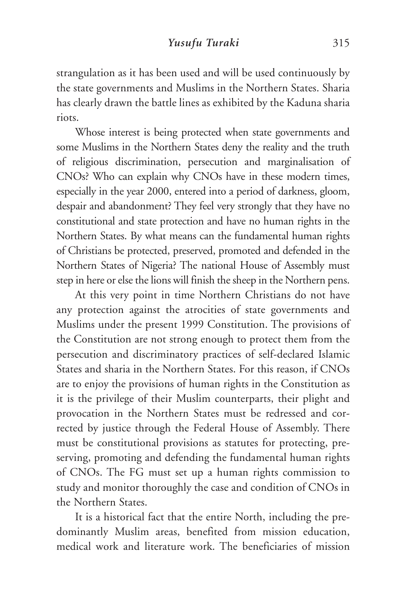strangulation as it has been used and will be used continuously by the state governments and Muslims in the Northern States. Sharia has clearly drawn the battle lines as exhibited by the Kaduna sharia riots.

Whose interest is being protected when state governments and some Muslims in the Northern States deny the reality and the truth of religious discrimination, persecution and marginalisation of CNOs? Who can explain why CNOs have in these modern times, especially in the year 2000, entered into a period of darkness, gloom, despair and abandonment? They feel very strongly that they have no constitutional and state protection and have no human rights in the Northern States. By what means can the fundamental human rights of Christians be protected, preserved, promoted and defended in the Northern States of Nigeria? The national House of Assembly must step in here or else the lions will finish the sheep in the Northern pens.

At this very point in time Northern Christians do not have any protection against the atrocities of state governments and Muslims under the present 1999 Constitution. The provisions of the Constitution are not strong enough to protect them from the persecution and discriminatory practices of self-declared Islamic States and sharia in the Northern States. For this reason, if CNOs are to enjoy the provisions of human rights in the Constitution as it is the privilege of their Muslim counterparts, their plight and provocation in the Northern States must be redressed and corrected by justice through the Federal House of Assembly. There must be constitutional provisions as statutes for protecting, preserving, promoting and defending the fundamental human rights of CNOs. The FG must set up a human rights commission to study and monitor thoroughly the case and condition of CNOs in the Northern States.

It is a historical fact that the entire North, including the predominantly Muslim areas, benefited from mission education, medical work and literature work. The beneficiaries of mission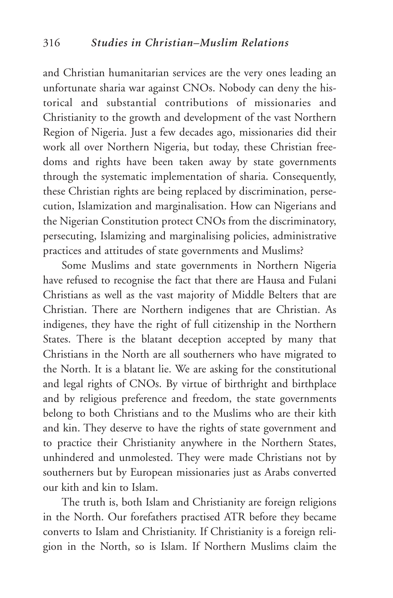and Christian humanitarian services are the very ones leading an unfortunate sharia war against CNOs. Nobody can deny the historical and substantial contributions of missionaries and Christianity to the growth and development of the vast Northern Region of Nigeria. Just a few decades ago, missionaries did their work all over Northern Nigeria, but today, these Christian freedoms and rights have been taken away by state governments through the systematic implementation of sharia. Consequently, these Christian rights are being replaced by discrimination, persecution, Islamization and marginalisation. How can Nigerians and the Nigerian Constitution protect CNOs from the discriminatory, persecuting, Islamizing and marginalising policies, administrative practices and attitudes of state governments and Muslims?

Some Muslims and state governments in Northern Nigeria have refused to recognise the fact that there are Hausa and Fulani Christians as well as the vast majority of Middle Belters that are Christian. There are Northern indigenes that are Christian. As indigenes, they have the right of full citizenship in the Northern States. There is the blatant deception accepted by many that Christians in the North are all southerners who have migrated to the North. It is a blatant lie. We are asking for the constitutional and legal rights of CNOs. By virtue of birthright and birthplace and by religious preference and freedom, the state governments belong to both Christians and to the Muslims who are their kith and kin. They deserve to have the rights of state government and to practice their Christianity anywhere in the Northern States, unhindered and unmolested. They were made Christians not by southerners but by European missionaries just as Arabs converted our kith and kin to Islam.

The truth is, both Islam and Christianity are foreign religions in the North. Our forefathers practised ATR before they became converts to Islam and Christianity. If Christianity is a foreign religion in the North, so is Islam. If Northern Muslims claim the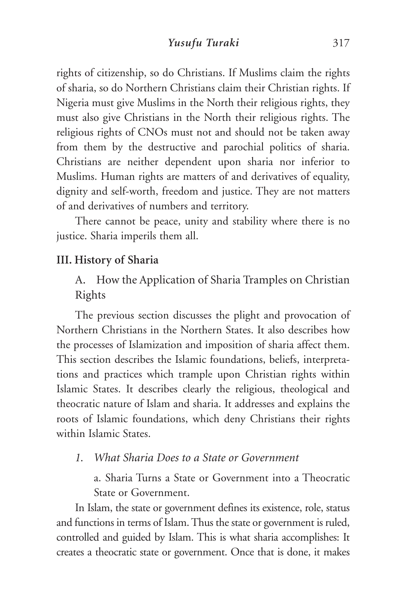rights of citizenship, so do Christians. If Muslims claim the rights of sharia, so do Northern Christians claim their Christian rights. If Nigeria must give Muslims in the North their religious rights, they must also give Christians in the North their religious rights. The religious rights of CNOs must not and should not be taken away from them by the destructive and parochial politics of sharia. Christians are neither dependent upon sharia nor inferior to Muslims. Human rights are matters of and derivatives of equality, dignity and self-worth, freedom and justice. They are not matters of and derivatives of numbers and territory.

There cannot be peace, unity and stability where there is no justice. Sharia imperils them all.

# **III. History of Sharia**

A. How the Application of Sharia Tramples on Christian Rights

The previous section discusses the plight and provocation of Northern Christians in the Northern States. It also describes how the processes of Islamization and imposition of sharia affect them. This section describes the Islamic foundations, beliefs, interpretations and practices which trample upon Christian rights within Islamic States. It describes clearly the religious, theological and theocratic nature of Islam and sharia. It addresses and explains the roots of Islamic foundations, which deny Christians their rights within Islamic States.

*1. What Sharia Does to a State or Government*

a. Sharia Turns a State or Government into a Theocratic State or Government.

In Islam, the state or government defines its existence, role, status and functions in terms of Islam. Thus the state or government is ruled, controlled and guided by Islam. This is what sharia accomplishes: It creates a theocratic state or government. Once that is done, it makes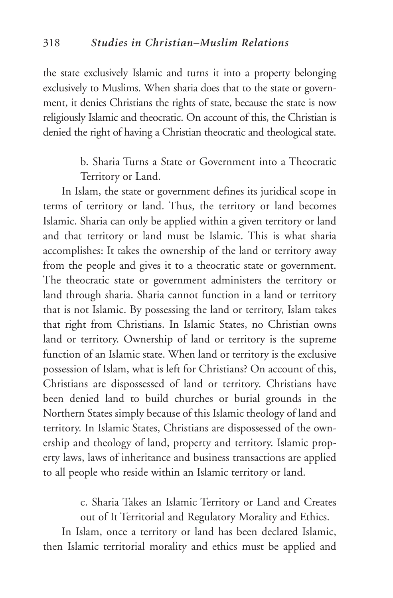the state exclusively Islamic and turns it into a property belonging exclusively to Muslims. When sharia does that to the state or government, it denies Christians the rights of state, because the state is now religiously Islamic and theocratic. On account of this, the Christian is denied the right of having a Christian theocratic and theological state.

> b. Sharia Turns a State or Government into a Theocratic Territory or Land.

In Islam, the state or government defines its juridical scope in terms of territory or land. Thus, the territory or land becomes Islamic. Sharia can only be applied within a given territory or land and that territory or land must be Islamic. This is what sharia accomplishes: It takes the ownership of the land or territory away from the people and gives it to a theocratic state or government. The theocratic state or government administers the territory or land through sharia. Sharia cannot function in a land or territory that is not Islamic. By possessing the land or territory, Islam takes that right from Christians. In Islamic States, no Christian owns land or territory. Ownership of land or territory is the supreme function of an Islamic state. When land or territory is the exclusive possession of Islam, what is left for Christians? On account of this, Christians are dispossessed of land or territory. Christians have been denied land to build churches or burial grounds in the Northern States simply because of this Islamic theology of land and territory. In Islamic States, Christians are dispossessed of the ownership and theology of land, property and territory. Islamic property laws, laws of inheritance and business transactions are applied to all people who reside within an Islamic territory or land.

> c. Sharia Takes an Islamic Territory or Land and Creates out of It Territorial and Regulatory Morality and Ethics.

In Islam, once a territory or land has been declared Islamic, then Islamic territorial morality and ethics must be applied and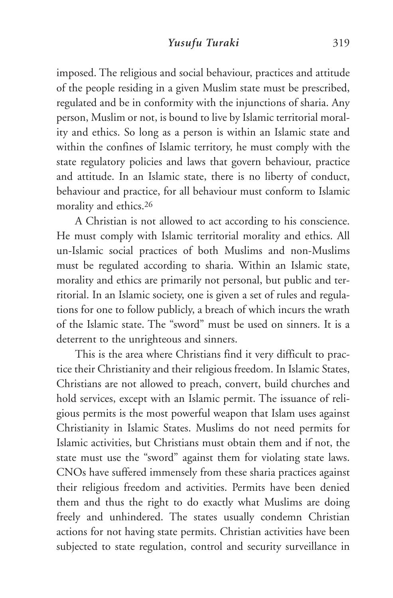imposed. The religious and social behaviour, practices and attitude of the people residing in a given Muslim state must be prescribed, regulated and be in conformity with the injunctions of sharia. Any person, Muslim or not, is bound to live by Islamic territorial morality and ethics. So long as a person is within an Islamic state and within the confines of Islamic territory, he must comply with the state regulatory policies and laws that govern behaviour, practice and attitude. In an Islamic state, there is no liberty of conduct, behaviour and practice, for all behaviour must conform to Islamic morality and ethics.26

A Christian is not allowed to act according to his conscience. He must comply with Islamic territorial morality and ethics. All un-Islamic social practices of both Muslims and non-Muslims must be regulated according to sharia. Within an Islamic state, morality and ethics are primarily not personal, but public and territorial. In an Islamic society, one is given a set of rules and regulations for one to follow publicly, a breach of which incurs the wrath of the Islamic state. The "sword" must be used on sinners. It is a deterrent to the unrighteous and sinners.

This is the area where Christians find it very difficult to practice their Christianity and their religious freedom. In Islamic States, Christians are not allowed to preach, convert, build churches and hold services, except with an Islamic permit. The issuance of religious permits is the most powerful weapon that Islam uses against Christianity in Islamic States. Muslims do not need permits for Islamic activities, but Christians must obtain them and if not, the state must use the "sword" against them for violating state laws. CNOs have suffered immensely from these sharia practices against their religious freedom and activities. Permits have been denied them and thus the right to do exactly what Muslims are doing freely and unhindered. The states usually condemn Christian actions for not having state permits. Christian activities have been subjected to state regulation, control and security surveillance in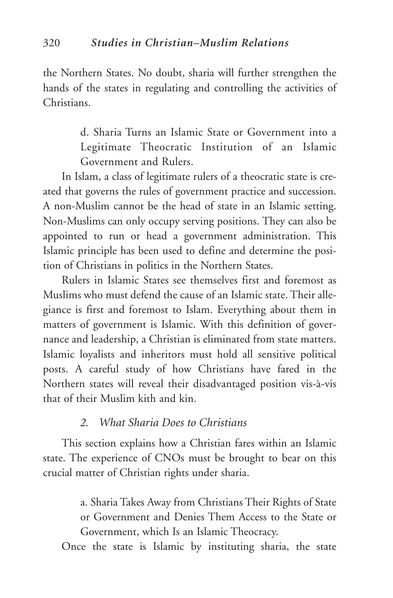the Northern States. No doubt, sharia will further strengthen the hands of the states in regulating and controlling the activities of Christians.

> d. Sharia Turns an Islamic State or Government into a Legitimate Theocratic Institution of an Islamic Government and Rulers.

In Islam, a class of legitimate rulers of a theocratic state is created that governs the rules of government practice and succession. A non-Muslim cannot be the head of state in an Islamic setting. Non-Muslims can only occupy serving positions. They can also be appointed to run or head a government administration. This Islamic principle has been used to define and determine the position of Christians in politics in the Northern States.

Rulers in Islamic States see themselves first and foremost as Muslims who must defend the cause of an Islamic state. Their allegiance is first and foremost to Islam. Everything about them in matters of government is Islamic. With this definition of governance and leadership, a Christian is eliminated from state matters. Islamic loyalists and inheritors must hold all sensitive political posts. A careful study of how Christians have fared in the Northern states will reveal their disadvantaged position vis-à-vis that of their Muslim kith and kin.

# *2. What Sharia Does to Christians*

This section explains how a Christian fares within an Islamic state. The experience of CNOs must be brought to bear on this crucial matter of Christian rights under sharia.

> a. Sharia Takes Away from Christians Their Rights of State or Government and Denies Them Access to the State or Government, which Is an Islamic Theocracy.

Once the state is Islamic by instituting sharia, the state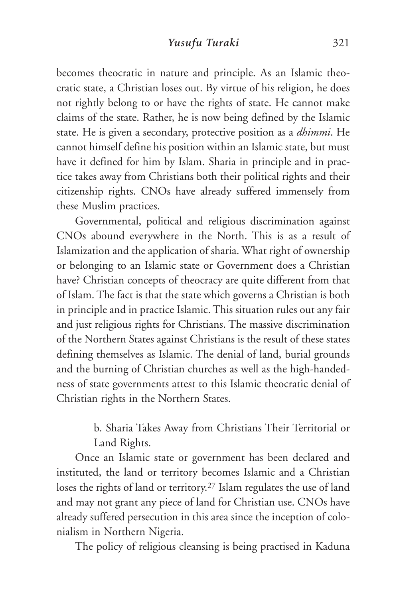becomes theocratic in nature and principle. As an Islamic theocratic state, a Christian loses out. By virtue of his religion, he does not rightly belong to or have the rights of state. He cannot make claims of the state. Rather, he is now being defined by the Islamic state. He is given a secondary, protective position as a *dhimmi*. He cannot himself define his position within an Islamic state, but must have it defined for him by Islam. Sharia in principle and in practice takes away from Christians both their political rights and their citizenship rights. CNOs have already suffered immensely from these Muslim practices.

Governmental, political and religious discrimination against CNOs abound everywhere in the North. This is as a result of Islamization and the application of sharia. What right of ownership or belonging to an Islamic state or Government does a Christian have? Christian concepts of theocracy are quite different from that of Islam. The fact is that the state which governs a Christian is both in principle and in practice Islamic. This situation rules out any fair and just religious rights for Christians. The massive discrimination of the Northern States against Christians is the result of these states defining themselves as Islamic. The denial of land, burial grounds and the burning of Christian churches as well as the high-handedness of state governments attest to this Islamic theocratic denial of Christian rights in the Northern States.

> b. Sharia Takes Away from Christians Their Territorial or Land Rights.

Once an Islamic state or government has been declared and instituted, the land or territory becomes Islamic and a Christian loses the rights of land or territory.27 Islam regulates the use of land and may not grant any piece of land for Christian use. CNOs have already suffered persecution in this area since the inception of colonialism in Northern Nigeria.

The policy of religious cleansing is being practised in Kaduna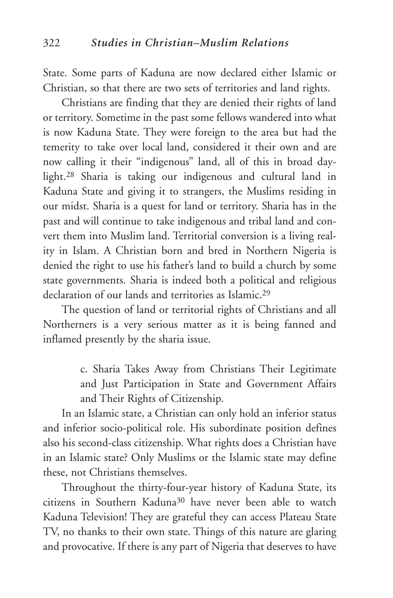State. Some parts of Kaduna are now declared either Islamic or Christian, so that there are two sets of territories and land rights.

Christians are finding that they are denied their rights of land or territory. Sometime in the past some fellows wandered into what is now Kaduna State. They were foreign to the area but had the temerity to take over local land, considered it their own and are now calling it their "indigenous" land, all of this in broad daylight.28 Sharia is taking our indigenous and cultural land in Kaduna State and giving it to strangers, the Muslims residing in our midst. Sharia is a quest for land or territory. Sharia has in the past and will continue to take indigenous and tribal land and convert them into Muslim land. Territorial conversion is a living reality in Islam. A Christian born and bred in Northern Nigeria is denied the right to use his father's land to build a church by some state governments. Sharia is indeed both a political and religious declaration of our lands and territories as Islamic.29

The question of land or territorial rights of Christians and all Northerners is a very serious matter as it is being fanned and inflamed presently by the sharia issue.

> c. Sharia Takes Away from Christians Their Legitimate and Just Participation in State and Government Affairs and Their Rights of Citizenship.

In an Islamic state, a Christian can only hold an inferior status and inferior socio-political role. His subordinate position defines also his second-class citizenship. What rights does a Christian have in an Islamic state? Only Muslims or the Islamic state may define these, not Christians themselves.

Throughout the thirty-four-year history of Kaduna State, its citizens in Southern Kaduna30 have never been able to watch Kaduna Television! They are grateful they can access Plateau State TV, no thanks to their own state. Things of this nature are glaring and provocative. If there is any part of Nigeria that deserves to have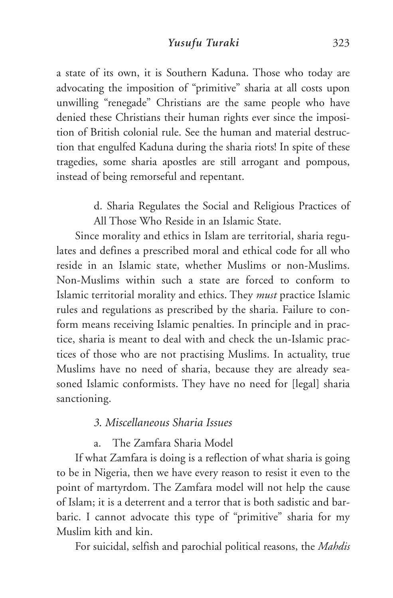a state of its own, it is Southern Kaduna. Those who today are advocating the imposition of "primitive" sharia at all costs upon unwilling "renegade" Christians are the same people who have denied these Christians their human rights ever since the imposition of British colonial rule. See the human and material destruction that engulfed Kaduna during the sharia riots! In spite of these tragedies, some sharia apostles are still arrogant and pompous, instead of being remorseful and repentant.

> d. Sharia Regulates the Social and Religious Practices of All Those Who Reside in an Islamic State.

Since morality and ethics in Islam are territorial, sharia regulates and defines a prescribed moral and ethical code for all who reside in an Islamic state, whether Muslims or non-Muslims. Non-Muslims within such a state are forced to conform to Islamic territorial morality and ethics. They *must* practice Islamic rules and regulations as prescribed by the sharia. Failure to conform means receiving Islamic penalties. In principle and in practice, sharia is meant to deal with and check the un-Islamic practices of those who are not practising Muslims. In actuality, true Muslims have no need of sharia, because they are already seasoned Islamic conformists. They have no need for [legal] sharia sanctioning.

## *3. Miscellaneous Sharia Issues*

a. The Zamfara Sharia Model

If what Zamfara is doing is a reflection of what sharia is going to be in Nigeria, then we have every reason to resist it even to the point of martyrdom. The Zamfara model will not help the cause of Islam; it is a deterrent and a terror that is both sadistic and barbaric. I cannot advocate this type of "primitive" sharia for my Muslim kith and kin.

For suicidal, selfish and parochial political reasons, the *Mahdis*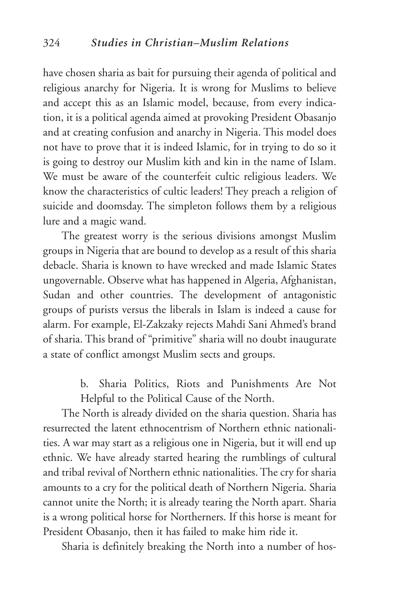have chosen sharia as bait for pursuing their agenda of political and religious anarchy for Nigeria. It is wrong for Muslims to believe and accept this as an Islamic model, because, from every indication, it is a political agenda aimed at provoking President Obasanjo and at creating confusion and anarchy in Nigeria. This model does not have to prove that it is indeed Islamic, for in trying to do so it is going to destroy our Muslim kith and kin in the name of Islam. We must be aware of the counterfeit cultic religious leaders. We know the characteristics of cultic leaders! They preach a religion of suicide and doomsday. The simpleton follows them by a religious lure and a magic wand.

The greatest worry is the serious divisions amongst Muslim groups in Nigeria that are bound to develop as a result of this sharia debacle. Sharia is known to have wrecked and made Islamic States ungovernable. Observe what has happened in Algeria, Afghanistan, Sudan and other countries. The development of antagonistic groups of purists versus the liberals in Islam is indeed a cause for alarm. For example, El-Zakzaky rejects Mahdi Sani Ahmed's brand of sharia. This brand of "primitive" sharia will no doubt inaugurate a state of conflict amongst Muslim sects and groups.

> b. Sharia Politics, Riots and Punishments Are Not Helpful to the Political Cause of the North.

The North is already divided on the sharia question. Sharia has resurrected the latent ethnocentrism of Northern ethnic nationalities. A war may start as a religious one in Nigeria, but it will end up ethnic. We have already started hearing the rumblings of cultural and tribal revival of Northern ethnic nationalities. The cry for sharia amounts to a cry for the political death of Northern Nigeria. Sharia cannot unite the North; it is already tearing the North apart. Sharia is a wrong political horse for Northerners. If this horse is meant for President Obasanjo, then it has failed to make him ride it.

Sharia is definitely breaking the North into a number of hos-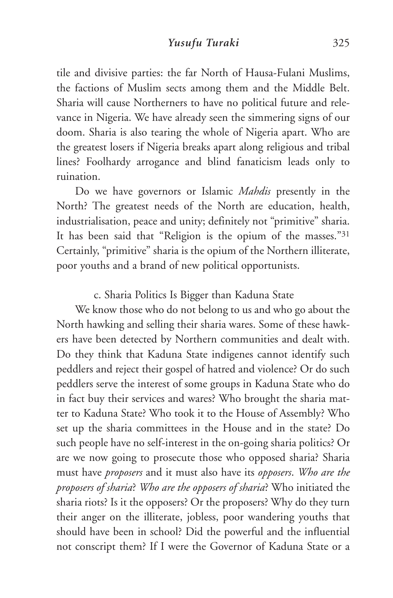tile and divisive parties: the far North of Hausa-Fulani Muslims, the factions of Muslim sects among them and the Middle Belt. Sharia will cause Northerners to have no political future and relevance in Nigeria. We have already seen the simmering signs of our doom. Sharia is also tearing the whole of Nigeria apart. Who are the greatest losers if Nigeria breaks apart along religious and tribal lines? Foolhardy arrogance and blind fanaticism leads only to ruination.

Do we have governors or Islamic *Mahdis* presently in the North? The greatest needs of the North are education, health, industrialisation, peace and unity; definitely not "primitive" sharia. It has been said that "Religion is the opium of the masses."31 Certainly, "primitive" sharia is the opium of the Northern illiterate, poor youths and a brand of new political opportunists.

# c. Sharia Politics Is Bigger than Kaduna State

We know those who do not belong to us and who go about the North hawking and selling their sharia wares. Some of these hawkers have been detected by Northern communities and dealt with. Do they think that Kaduna State indigenes cannot identify such peddlers and reject their gospel of hatred and violence? Or do such peddlers serve the interest of some groups in Kaduna State who do in fact buy their services and wares? Who brought the sharia matter to Kaduna State? Who took it to the House of Assembly? Who set up the sharia committees in the House and in the state? Do such people have no self-interest in the on-going sharia politics? Or are we now going to prosecute those who opposed sharia? Sharia must have *proposers* and it must also have its *opposers*. *Who are the proposers of sharia*? *Who are the opposers of sharia*? Who initiated the sharia riots? Is it the opposers? Or the proposers? Why do they turn their anger on the illiterate, jobless, poor wandering youths that should have been in school? Did the powerful and the influential not conscript them? If I were the Governor of Kaduna State or a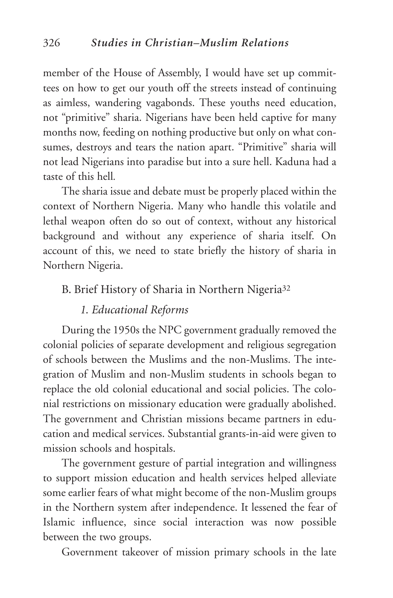member of the House of Assembly, I would have set up committees on how to get our youth off the streets instead of continuing as aimless, wandering vagabonds. These youths need education, not "primitive" sharia. Nigerians have been held captive for many months now, feeding on nothing productive but only on what consumes, destroys and tears the nation apart. "Primitive" sharia will not lead Nigerians into paradise but into a sure hell. Kaduna had a taste of this hell*.*

The sharia issue and debate must be properly placed within the context of Northern Nigeria. Many who handle this volatile and lethal weapon often do so out of context, without any historical background and without any experience of sharia itself. On account of this, we need to state briefly the history of sharia in Northern Nigeria.

## B. Brief History of Sharia in Northern Nigeria<sup>32</sup>

# *1. Educational Reforms*

During the 1950s the NPC government gradually removed the colonial policies of separate development and religious segregation of schools between the Muslims and the non-Muslims. The integration of Muslim and non-Muslim students in schools began to replace the old colonial educational and social policies. The colonial restrictions on missionary education were gradually abolished. The government and Christian missions became partners in education and medical services. Substantial grants-in-aid were given to mission schools and hospitals.

The government gesture of partial integration and willingness to support mission education and health services helped alleviate some earlier fears of what might become of the non-Muslim groups in the Northern system after independence. It lessened the fear of Islamic influence, since social interaction was now possible between the two groups.

Government takeover of mission primary schools in the late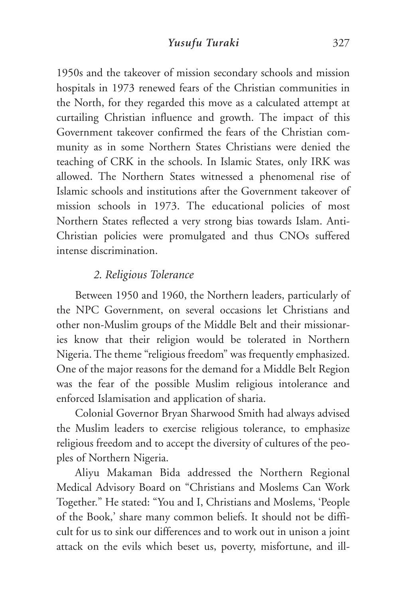1950s and the takeover of mission secondary schools and mission hospitals in 1973 renewed fears of the Christian communities in the North, for they regarded this move as a calculated attempt at curtailing Christian influence and growth. The impact of this Government takeover confirmed the fears of the Christian community as in some Northern States Christians were denied the teaching of CRK in the schools. In Islamic States, only IRK was allowed. The Northern States witnessed a phenomenal rise of Islamic schools and institutions after the Government takeover of mission schools in 1973. The educational policies of most Northern States reflected a very strong bias towards Islam. Anti-Christian policies were promulgated and thus CNOs suffered intense discrimination.

# *2. Religious Tolerance*

Between 1950 and 1960, the Northern leaders, particularly of the NPC Government, on several occasions let Christians and other non-Muslim groups of the Middle Belt and their missionaries know that their religion would be tolerated in Northern Nigeria. The theme "religious freedom" was frequently emphasized. One of the major reasons for the demand for a Middle Belt Region was the fear of the possible Muslim religious intolerance and enforced Islamisation and application of sharia.

Colonial Governor Bryan Sharwood Smith had always advised the Muslim leaders to exercise religious tolerance, to emphasize religious freedom and to accept the diversity of cultures of the peoples of Northern Nigeria.

Aliyu Makaman Bida addressed the Northern Regional Medical Advisory Board on "Christians and Moslems Can Work Together." He stated: "You and I, Christians and Moslems, 'People of the Book,' share many common beliefs. It should not be difficult for us to sink our differences and to work out in unison a joint attack on the evils which beset us, poverty, misfortune, and ill-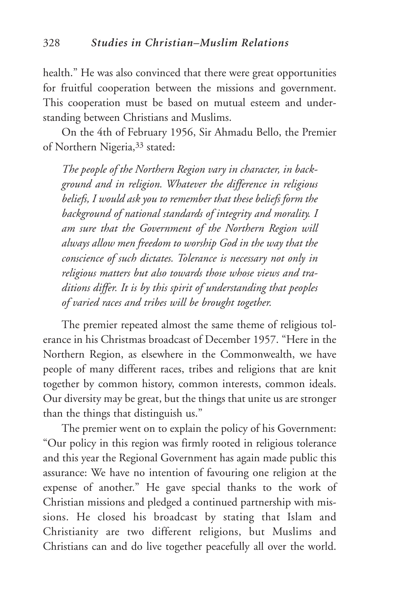health." He was also convinced that there were great opportunities for fruitful cooperation between the missions and government. This cooperation must be based on mutual esteem and understanding between Christians and Muslims.

On the 4th of February 1956, Sir Ahmadu Bello, the Premier of Northern Nigeria,33 stated:

*The people of the Northern Region vary in character, in background and in religion. Whatever the difference in religious beliefs, I would ask you to remember that these beliefs form the background of national standards of integrity and morality. I am sure that the Government of the Northern Region will always allow men freedom to worship God in the way that the conscience of such dictates. Tolerance is necessary not only in religious matters but also towards those whose views and traditions differ. It is by this spirit of understanding that peoples of varied races and tribes will be brought together.*

The premier repeated almost the same theme of religious tolerance in his Christmas broadcast of December 1957. "Here in the Northern Region, as elsewhere in the Commonwealth, we have people of many different races, tribes and religions that are knit together by common history, common interests, common ideals. Our diversity may be great, but the things that unite us are stronger than the things that distinguish us."

The premier went on to explain the policy of his Government: "Our policy in this region was firmly rooted in religious tolerance and this year the Regional Government has again made public this assurance: We have no intention of favouring one religion at the expense of another." He gave special thanks to the work of Christian missions and pledged a continued partnership with missions. He closed his broadcast by stating that Islam and Christianity are two different religions, but Muslims and Christians can and do live together peacefully all over the world.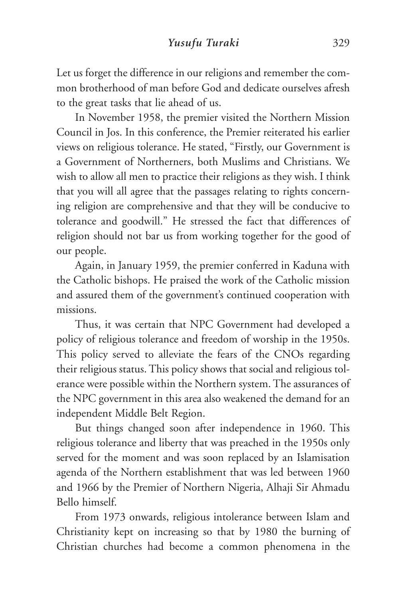Let us forget the difference in our religions and remember the common brotherhood of man before God and dedicate ourselves afresh to the great tasks that lie ahead of us.

In November 1958, the premier visited the Northern Mission Council in Jos. In this conference, the Premier reiterated his earlier views on religious tolerance. He stated, "Firstly, our Government is a Government of Northerners, both Muslims and Christians. We wish to allow all men to practice their religions as they wish. I think that you will all agree that the passages relating to rights concerning religion are comprehensive and that they will be conducive to tolerance and goodwill." He stressed the fact that differences of religion should not bar us from working together for the good of our people.

Again, in January 1959, the premier conferred in Kaduna with the Catholic bishops. He praised the work of the Catholic mission and assured them of the government's continued cooperation with missions.

Thus, it was certain that NPC Government had developed a policy of religious tolerance and freedom of worship in the 1950s. This policy served to alleviate the fears of the CNOs regarding their religious status. This policy shows that social and religious tolerance were possible within the Northern system. The assurances of the NPC government in this area also weakened the demand for an independent Middle Belt Region.

But things changed soon after independence in 1960. This religious tolerance and liberty that was preached in the 1950s only served for the moment and was soon replaced by an Islamisation agenda of the Northern establishment that was led between 1960 and 1966 by the Premier of Northern Nigeria, Alhaji Sir Ahmadu Bello himself.

From 1973 onwards, religious intolerance between Islam and Christianity kept on increasing so that by 1980 the burning of Christian churches had become a common phenomena in the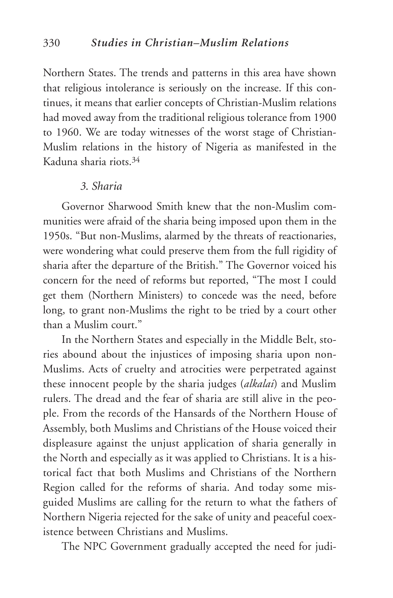Northern States. The trends and patterns in this area have shown that religious intolerance is seriously on the increase. If this continues, it means that earlier concepts of Christian-Muslim relations had moved away from the traditional religious tolerance from 1900 to 1960. We are today witnesses of the worst stage of Christian-Muslim relations in the history of Nigeria as manifested in the Kaduna sharia riots.34

# *3. Sharia*

Governor Sharwood Smith knew that the non-Muslim communities were afraid of the sharia being imposed upon them in the 1950s. "But non-Muslims, alarmed by the threats of reactionaries, were wondering what could preserve them from the full rigidity of sharia after the departure of the British." The Governor voiced his concern for the need of reforms but reported, "The most I could get them (Northern Ministers) to concede was the need, before long, to grant non-Muslims the right to be tried by a court other than a Muslim court."

In the Northern States and especially in the Middle Belt, stories abound about the injustices of imposing sharia upon non-Muslims. Acts of cruelty and atrocities were perpetrated against these innocent people by the sharia judges (*alkalai*) and Muslim rulers. The dread and the fear of sharia are still alive in the people. From the records of the Hansards of the Northern House of Assembly, both Muslims and Christians of the House voiced their displeasure against the unjust application of sharia generally in the North and especially as it was applied to Christians. It is a historical fact that both Muslims and Christians of the Northern Region called for the reforms of sharia. And today some misguided Muslims are calling for the return to what the fathers of Northern Nigeria rejected for the sake of unity and peaceful coexistence between Christians and Muslims.

The NPC Government gradually accepted the need for judi-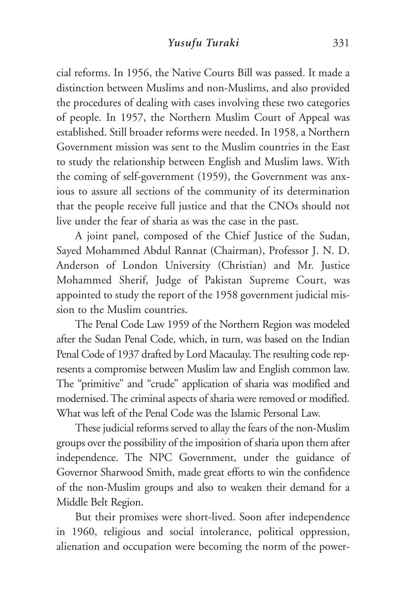cial reforms. In 1956, the Native Courts Bill was passed. It made a distinction between Muslims and non-Muslims, and also provided the procedures of dealing with cases involving these two categories of people. In 1957, the Northern Muslim Court of Appeal was established. Still broader reforms were needed. In 1958, a Northern Government mission was sent to the Muslim countries in the East to study the relationship between English and Muslim laws. With the coming of self-government (1959), the Government was anxious to assure all sections of the community of its determination that the people receive full justice and that the CNOs should not live under the fear of sharia as was the case in the past.

A joint panel, composed of the Chief Justice of the Sudan, Sayed Mohammed Abdul Rannat (Chairman), Professor J. N. D. Anderson of London University (Christian) and Mr. Justice Mohammed Sherif, Judge of Pakistan Supreme Court, was appointed to study the report of the 1958 government judicial mission to the Muslim countries.

The Penal Code Law 1959 of the Northern Region was modeled after the Sudan Penal Code, which, in turn, was based on the Indian Penal Code of 1937 drafted by Lord Macaulay. The resulting code represents a compromise between Muslim law and English common law. The "primitive" and "crude" application of sharia was modified and modernised. The criminal aspects of sharia were removed or modified. What was left of the Penal Code was the Islamic Personal Law.

These judicial reforms served to allay the fears of the non-Muslim groups over the possibility of the imposition of sharia upon them after independence. The NPC Government, under the guidance of Governor Sharwood Smith, made great efforts to win the confidence of the non-Muslim groups and also to weaken their demand for a Middle Belt Region.

But their promises were short-lived. Soon after independence in 1960, religious and social intolerance, political oppression, alienation and occupation were becoming the norm of the power-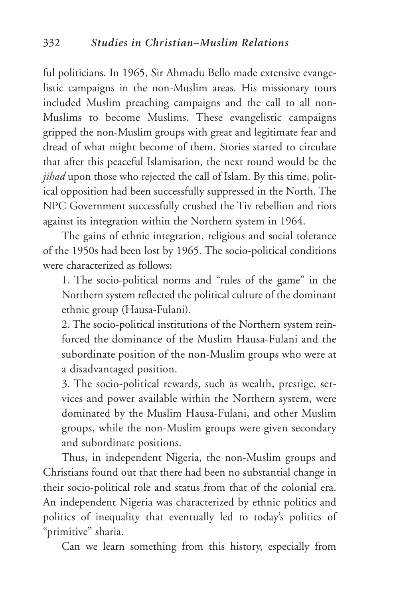ful politicians. In 1965, Sir Ahmadu Bello made extensive evangelistic campaigns in the non-Muslim areas. His missionary tours included Muslim preaching campaigns and the call to all non-Muslims to become Muslims. These evangelistic campaigns gripped the non-Muslim groups with great and legitimate fear and dread of what might become of them. Stories started to circulate that after this peaceful Islamisation, the next round would be the *jihad* upon those who rejected the call of Islam. By this time, political opposition had been successfully suppressed in the North. The NPC Government successfully crushed the Tiv rebellion and riots against its integration within the Northern system in 1964.

The gains of ethnic integration, religious and social tolerance of the 1950s had been lost by 1965. The socio-political conditions were characterized as follows:

1. The socio-political norms and "rules of the game" in the Northern system reflected the political culture of the dominant ethnic group (Hausa-Fulani).

2. The socio-political institutions of the Northern system reinforced the dominance of the Muslim Hausa-Fulani and the subordinate position of the non-Muslim groups who were at a disadvantaged position.

3. The socio-political rewards, such as wealth, prestige, services and power available within the Northern system, were dominated by the Muslim Hausa-Fulani, and other Muslim groups, while the non-Muslim groups were given secondary and subordinate positions.

Thus, in independent Nigeria, the non-Muslim groups and Christians found out that there had been no substantial change in their socio-political role and status from that of the colonial era. An independent Nigeria was characterized by ethnic politics and politics of inequality that eventually led to today's politics of "primitive" sharia.

Can we learn something from this history, especially from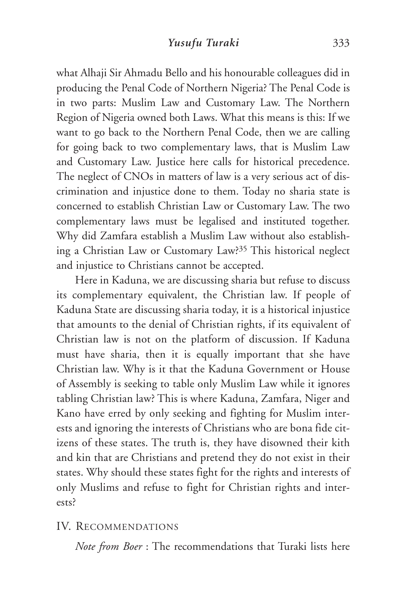what Alhaji Sir Ahmadu Bello and his honourable colleagues did in producing the Penal Code of Northern Nigeria? The Penal Code is in two parts: Muslim Law and Customary Law. The Northern Region of Nigeria owned both Laws. What this means is this: If we want to go back to the Northern Penal Code, then we are calling for going back to two complementary laws, that is Muslim Law and Customary Law. Justice here calls for historical precedence. The neglect of CNOs in matters of law is a very serious act of discrimination and injustice done to them. Today no sharia state is concerned to establish Christian Law or Customary Law. The two complementary laws must be legalised and instituted together. Why did Zamfara establish a Muslim Law without also establishing a Christian Law or Customary Law?35 This historical neglect and injustice to Christians cannot be accepted.

Here in Kaduna, we are discussing sharia but refuse to discuss its complementary equivalent, the Christian law. If people of Kaduna State are discussing sharia today, it is a historical injustice that amounts to the denial of Christian rights, if its equivalent of Christian law is not on the platform of discussion. If Kaduna must have sharia, then it is equally important that she have Christian law. Why is it that the Kaduna Government or House of Assembly is seeking to table only Muslim Law while it ignores tabling Christian law? This is where Kaduna, Zamfara, Niger and Kano have erred by only seeking and fighting for Muslim interests and ignoring the interests of Christians who are bona fide citizens of these states. The truth is, they have disowned their kith and kin that are Christians and pretend they do not exist in their states. Why should these states fight for the rights and interests of only Muslims and refuse to fight for Christian rights and interests?

# IV. RECOMMENDATIONS

*Note from Boer* : The recommendations that Turaki lists here